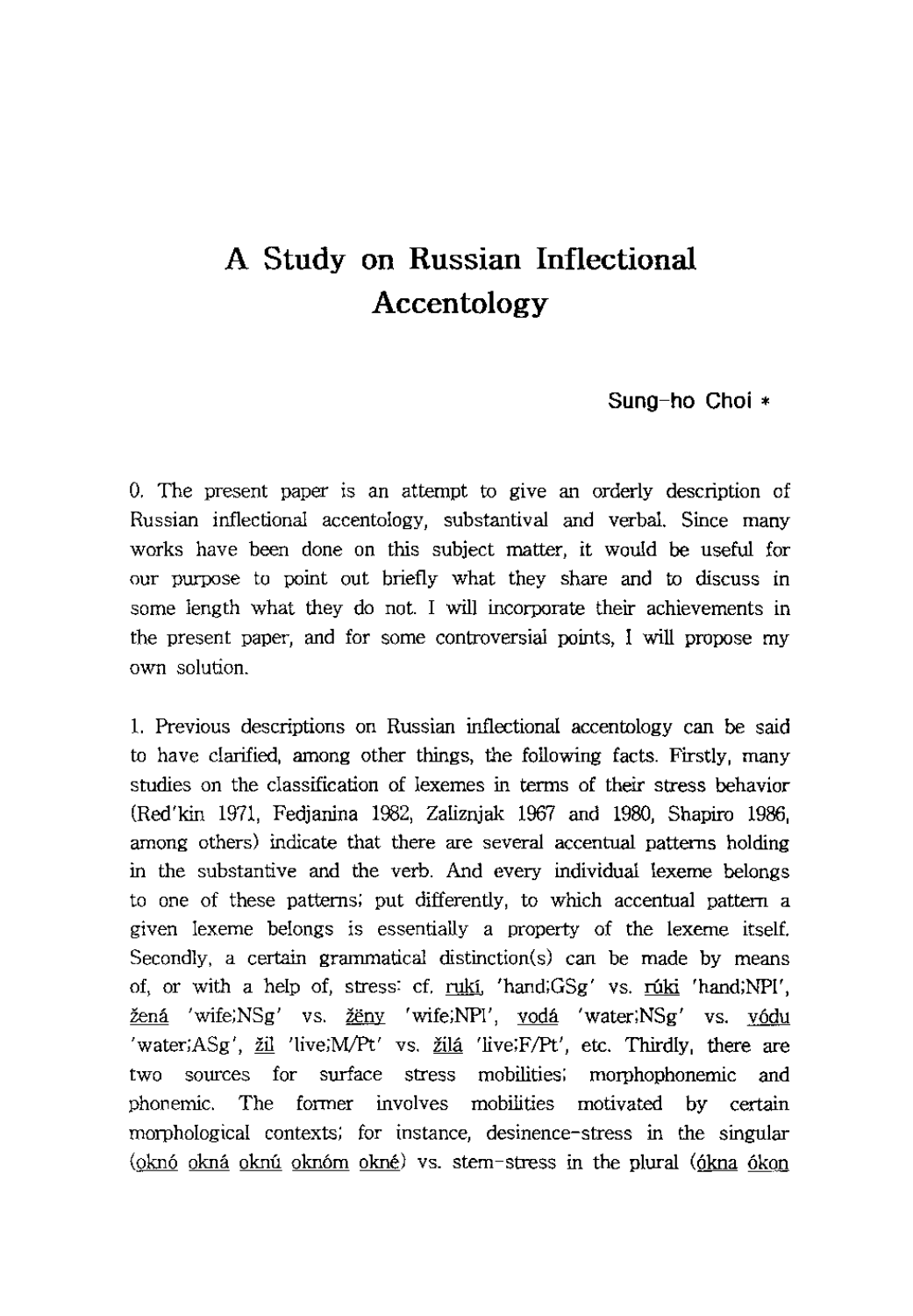## **Sung-ho Choi \***

O. The present paper is an attempt to give an orderly description of Russian inflectional accentology, substantival and verbal. Since many works have been done on this subject matter, it would be useful for our purpose to point out briefly what they share and to discuss in some length what they do not. I will incorporate their achievements in the present paper, and for some controversial points, I will propose my own solution.

1. Previous descriptions on Russian inflectional accentology can be said to have clarified, among other things, the following facts. Firstly, many studies on the classification of lexemes in terms of their stress behavior (Red'kin 1971, Fedjanina 1982, Zaliznjak 1967 and 1980, Shapiro 1986, among others) indicate that there are several accentual patterns holding in the substantive and the verb. And every individual lexeme belongs to one of these patterns; put differently, to which accentual pattern a given lexeme belongs is essentially a property of the lexeme itself. Secondly, a certain grammatical distinction(s) can be made by means of, or with a help of, stress: cf. ruki, 'hand; $GSg'$  vs. ruki 'hand; $NPI'$ , žená 'wife;NSg' vs. <u>ženy</u> 'wife;NPI', vodá 'water;NSg' vs. vódu 'water; $ASg'$ ,  $\underline{zil}$  'live; $M/Pt'$  vs.  $\underline{zil}a$  'live; $F/Pt'$ , etc. Thirdly, there are two sources for surface stress mobilities; morphophonemic and phonemic. The former involves mobilities motivated by certain morphological contexts; for instance, desinence-stress in the singular (oknó okná oknú oknóm okné) vs. stem-stress in the plural (ókna ókon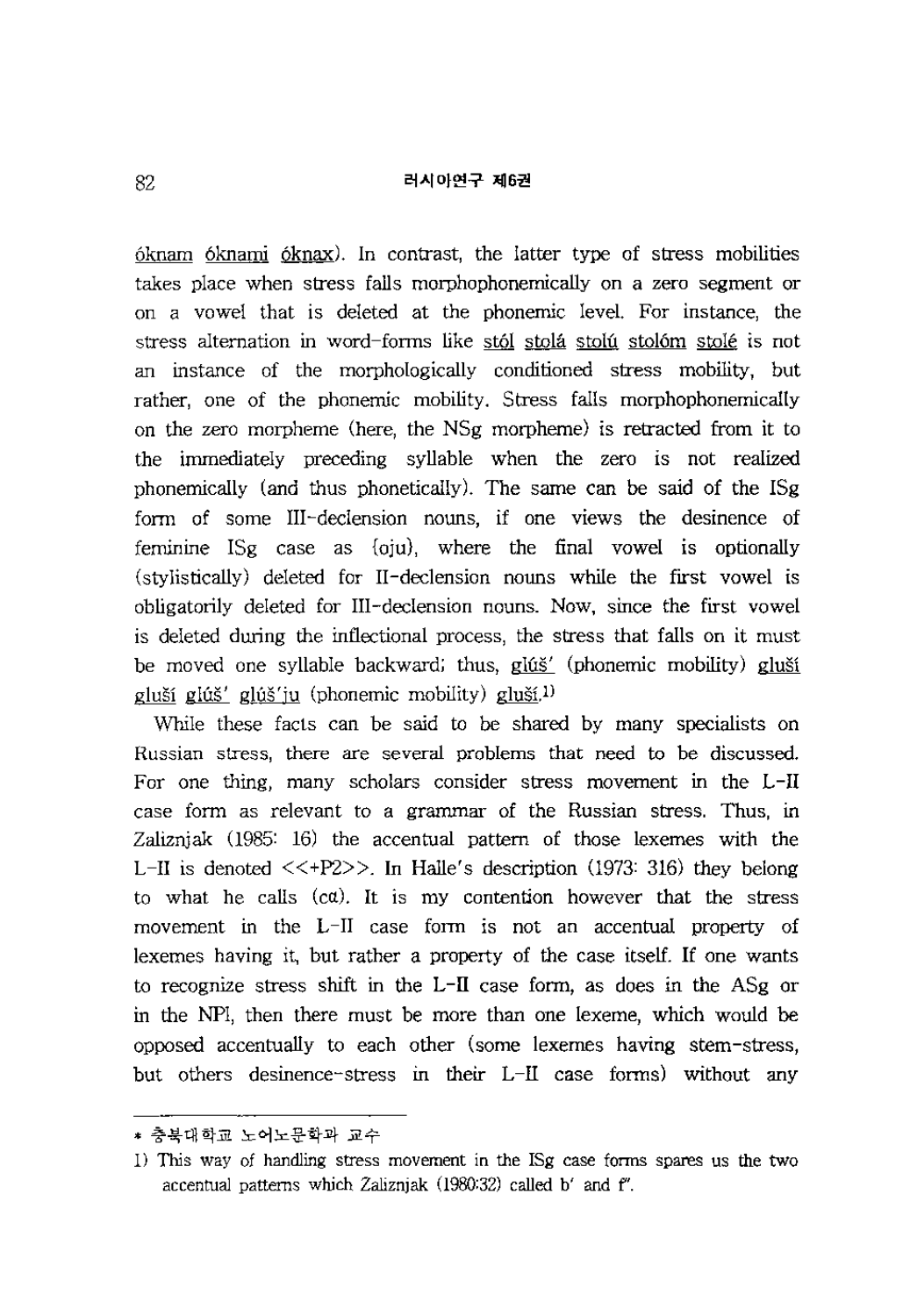6knam 6knami 6knax). In contrast, the latter type of stress mobilities takes place when stress falls morphophonemically on a zero segment or on a vowel that is deleted at the phonemic level. For instance, the stress alternation in word-forms like stól stolá stolú stolóm stolé is not an instance of the morphologically conditioned stress mobility, but rather, one of the phonemic mobility. Stress falls morphophonemically on the zero morpheme (here, the NSg morpheme) is retracted from it to the immediately preceding syllable when the zero is not realized phonemically (and thus phonetically). The same can be said of the ISg form of some III-declension nouns, if one views the desinence of feminine ISg case as {oju}, where the final vowel is optionally (stylistically) deleted for II-declension nouns while the first vowel is obligatorily deleted for III -declension nouns. Now, since the first vowel is deleted during the inflectional process, the stress that falls on it must be moved one syllable backward; thus, glúš' (phonemic mobility) gluší gluší glúš' glúš'ju (phonemic mobility) gluší.<sup>1)</sup>

While these facts can be said to be shared by many specialists on Russian stress, there are several problems that need to be discussed. For one thing, many scholars consider stress movement in the L-II case form as relevant to a grammar of the Russian stress. Thus, in Zaliznjak (1985: 16) the accentual pattern of those lexemes with the L-II is denoted  $\langle\langle+P2\rangle\rangle$ . In Halle's description (1973: 316) they belong to what he calls  $(c\alpha)$ . It is my contention however that the stress movement in the L-II case form is not an accentual property of lexemes having it, but rather a property of the case itself. If one wants to recognize stress shift in the L-II case form, as does in the ASg or in the NFl, then there must be more than one lexeme, which would be opposed accentually to each other (some lexemes having stem-stress, but others desinence-stress in their L-II case forms) without any

<sup>\*</sup> 충북대학교 노어노문학과 교수

<sup>1)</sup> This way of handling stress movement in the ISg case forms spares us the two accentual patterns which Zaliznjak (1980:32) called b' and f'.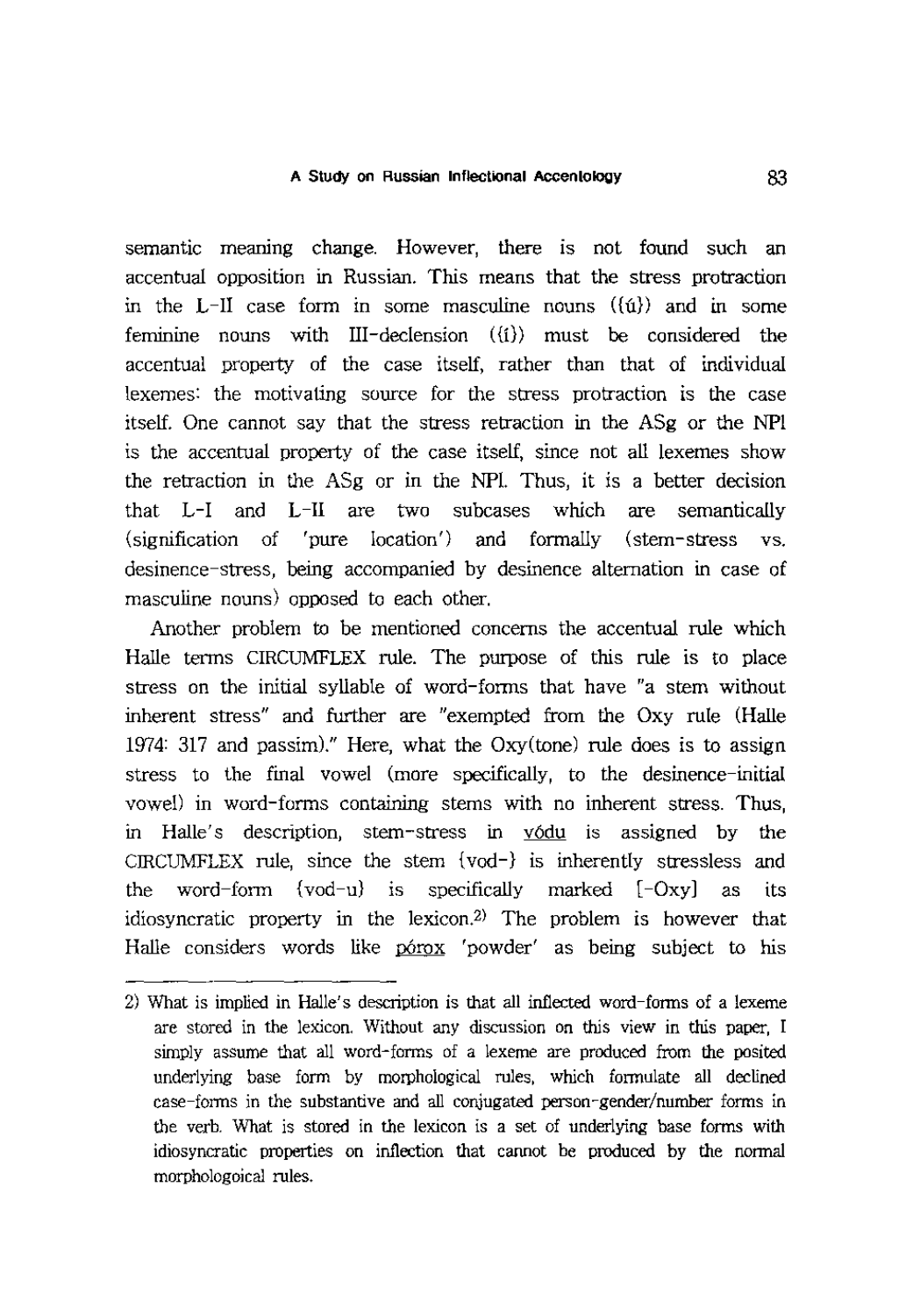semantic meamng change. However, there is not found such an accentual opposition in Russian. This means that the stress protraction in the L-II case form in some masculine nouns  $({\hat{u}})$  and in some feminine nouns with III-declension  $({i})$  must be considered the accentual property of the case itself, rather than that of individual lexemes: the motivating source for the stress protraction is the case itself. One cannot say that the stress retraction in the ASg or the NPI is the accentual property of the case itself, since not all lexemes show the retraction in the ASg or in the NP1. Thus, it is a better decision that L-I and L-II are two subcases which are semantically (signification of 'pure location') and formally (stem-stress vs. desinence-stress, being accompanied by desinence alternation in case of masculine nouns) opposed to each other.

Another problem to be mentioned concerns the accentual rule which Halle terms CIRCUMFLEX rule. The purpose of this rule is to place stress on the initial syllable of word-forms that have "a stem without inherent stress" and further are "exempted from the Oxy rule (Halle 1974: 317 and passim)." Here, what the Oxy(tone) rule does is to assign stress to the final vowel (more specifically, to the desinence-initial vowel) in word-forms containing stems with no inherent stress. Thus, in Halle's description, stem-stress in vodu is assigned by the CIRCUMFLEX rule, since the stem {vod-} is inherently stressless and the word-form  $\{v \circ d-u\}$  is specifically marked  $[-Oxy]$  as its idiosyncratic property in the lexicon.2) The problem is however that Halle considers words like porox 'powder' as being subject to his

<sup>2)</sup> What is implied in Halle's description is that all inflected word-fonns of a lexeme are stored in the lexicon. Without any discussion on this view in this paper, I simply assume that all word-forms of a lexeme are produced from the posited underlying base form by morphological rules, which formulate all declined case-forms in the substantive and all conjugated person-gender/number forms in the verb. What is stored in the lexicon is a set of underlying base forms with idiosyncratic properties on inflection that cannot be produced by the normal morphologoical rules.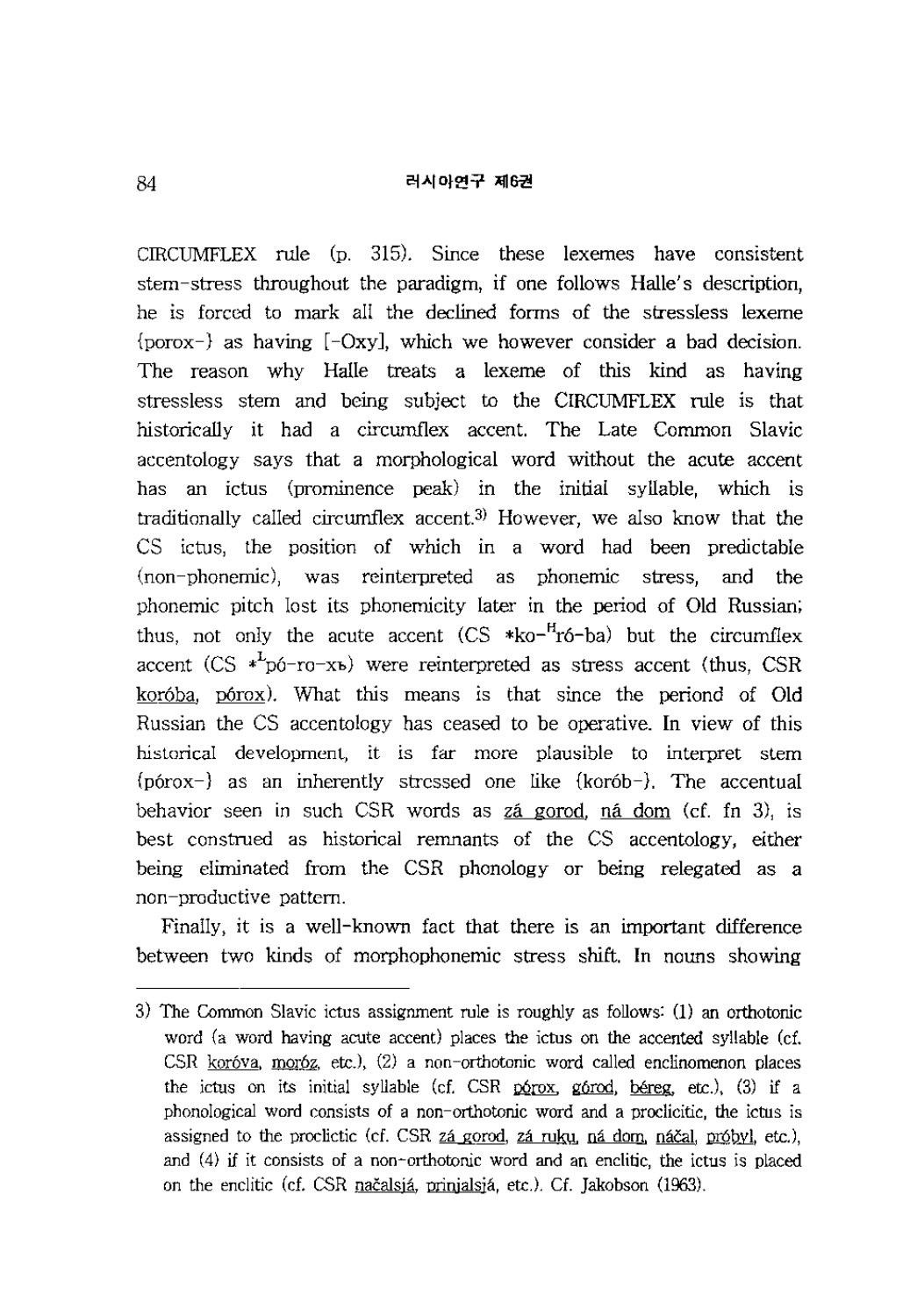CIRCUMFLEX rule (p. 315). Since these lexemes have consistent stem-stress throughout the paradigm, if one follows Halle's description, he is forced to mark all the declined forms of the stressless lexeme {porox-} as having [-Oxy], which we however consider a bad decision. The reason why Halle treats a lexeme of this kind as having stressless stem and being subject to the CIRCUMFLEX rule is that historically it had a circumflex accent. The Late Common Slavic accentology says that a morphological word without the acute accent has an ictus (prominence peak) in the initial syllable, which is traditionally called circumflex accent.3) However, we also know that the CS ictus, the position of which in a word had been predictable (non-phonemic), was reinterpreted as phonemic stress, and the phonemic pitch lost its phonemicity later in the period of Old Russian; thus, not only the acute accent (CS \*ko-<sup>H</sup>ró-ba) but the circumflex accent (CS  $*^L$ pó-ro-xb) were reinterpreted as stress accent (thus, CSR koróba, pórox). What this means is that since the periond of Old Russian the CS accentology has ceased to be operative. **In** view of this historical development, it is far more plausible to interpret stem {p6rox-} as an inherently stressed one like {kor6b-}. The accentual behavior seen in such CSR words as zá gorod, ná dom (cf. fn 3), is best construed as historical remnants of the CS accentology, either being eliminated from the CSR phonology or being relegated as a non-productive pattern.

Finally, it is a well-known fact that there is an important difference between two kinds of morphophonemic stress shift. **In** nouns showing

<sup>3)</sup> The Common Slavic ictus assignment rule is roughly as follows: (1) an orthotonic word (a word having acute accent) places the ictus on the accented syllable (cf. CSR kor6va, mor6z, etc.), (2) a non-orthotonic word called enclinomenon places the ictus on its initial syllable (cf. CSR p6rox, g6rod, bereg, etc.), (3) if a phonological word consists of a non-orthotonic word and a proclicitic, the ictus is assigned to the proclictic (cf. CSR  $z\acute{a}$  gorod,  $z\acute{a}$  ruku, na dom, načal, próbyl, etc.), and (4) if it consists of a non-orthotonic word and an enclitic, the ictus is placed on the enclitic (d. CSR nacalsja, prinjalsja, etc.). Cf. Jakobson (1963).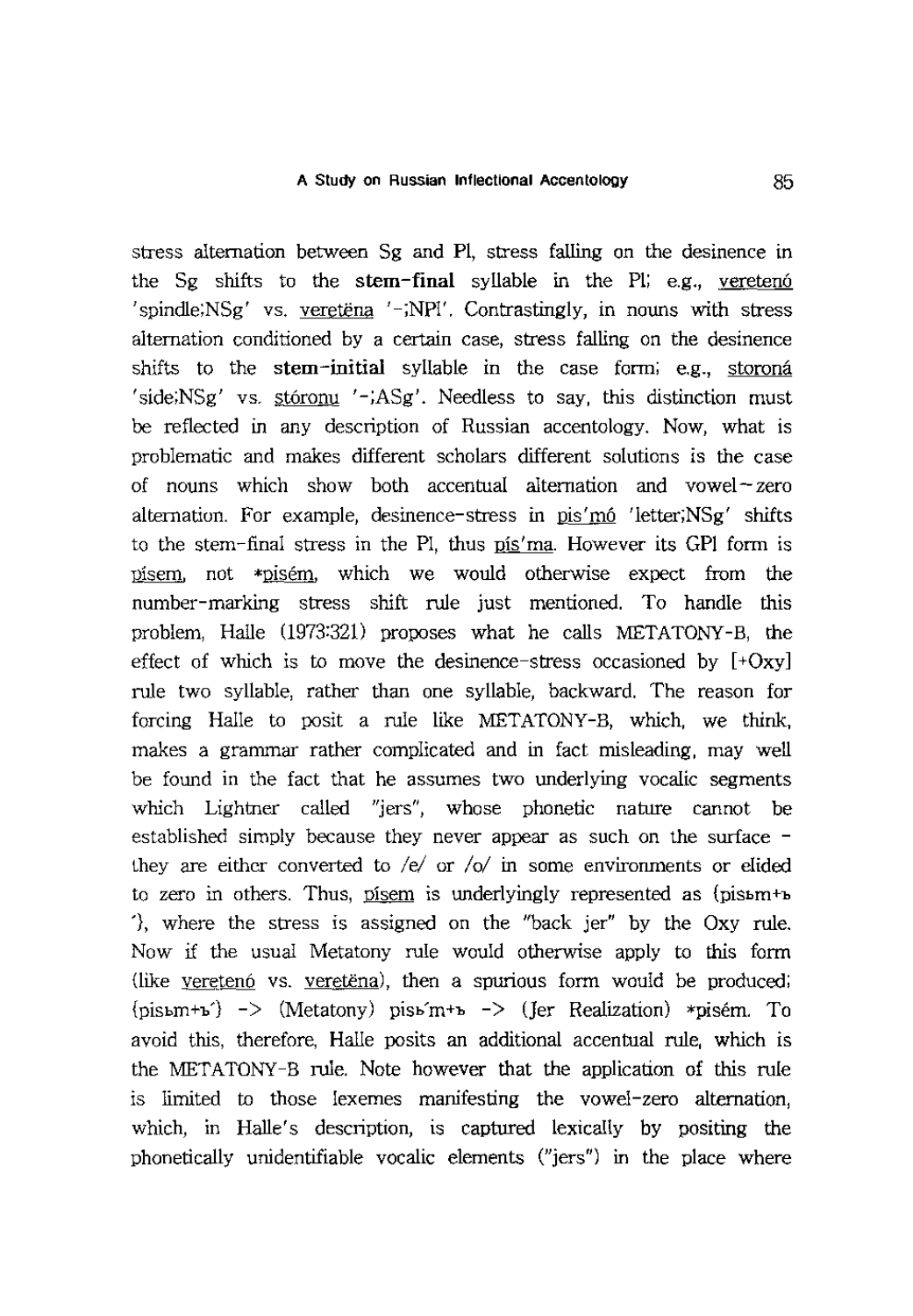stress alternation between Sg and PI, stress falling on the desinence in the Sg shifts to the stem-final syllable in the Pl; e.g., vereteng  $\gamma$ 'spindle;NSg' vs. veretena  $\gamma$ -;NPl'. Contrastingly, in nouns with stress alternation conditioned by a certain case, stress falling on the desinence shifts to the stem-initial syllable in the case form; e.g., storoná  $\sigma'$  iside;NSg' vs. storonu  $\sigma'$ -;ASg'. Needless to say, this distinction must be reflected in any description of Russian accentology. Now, what is problematic and makes different scholars different solutions is the case of nouns which show both accentual alternation and vowel- zero alternation. For example, desinence-stress in pis'm6 'letter;NSg' shifts to the stem-final stress in the PI, thus  $p_1$ '  $p_2$ ' ma. However its GPI form is oisem, not \*pisem, which we would otherwise expect from the number-marking stress shift rule just mentioned. To handle this problem, Halle (1973:321) proposes what he calls METATONY-B, the effect of which is to move the desinence-stress occasioned by  $[+Oxy]$ rule two syllable, rather than one syllable, backward. The reason for forcing Halle to posit a rule like MET ATONY -B, which, we think, makes a grammar rather complicated and in fact misleading, may well be found in the fact that he assumes two underlying vocalic segments which Lightner called "jers", whose phonetic nature cannot be established simply because they never appear as such on the surface they are either converted to  $/e/$  or  $\sqrt{o}/$  in some environments or elided to zero in others. Thus, pisem is underlyingly represented as  ${\rm (pism+b)}$ '}, where the stress is assigned on the "back jer" by the Oxy rule. Now if the usual Metatony rule would otherwise apply to this form (like veretenó vs. veretena), then a spurious form would be produced;  ${p}$ isbm+b') -> (Metatony) pisb'm+b -> (Jer Realization) \*pisém. To avoid this, therefore, Halle posits an additional accentual rule, which is the MET ATONY -B rule. Note however that the application of this rule is limited to those lexemes manifesting the vowel-zero alternation, which, in Halle's description, is captured lexically by positing the phonetically unidentifiable vocalic elements ("jers") in the place where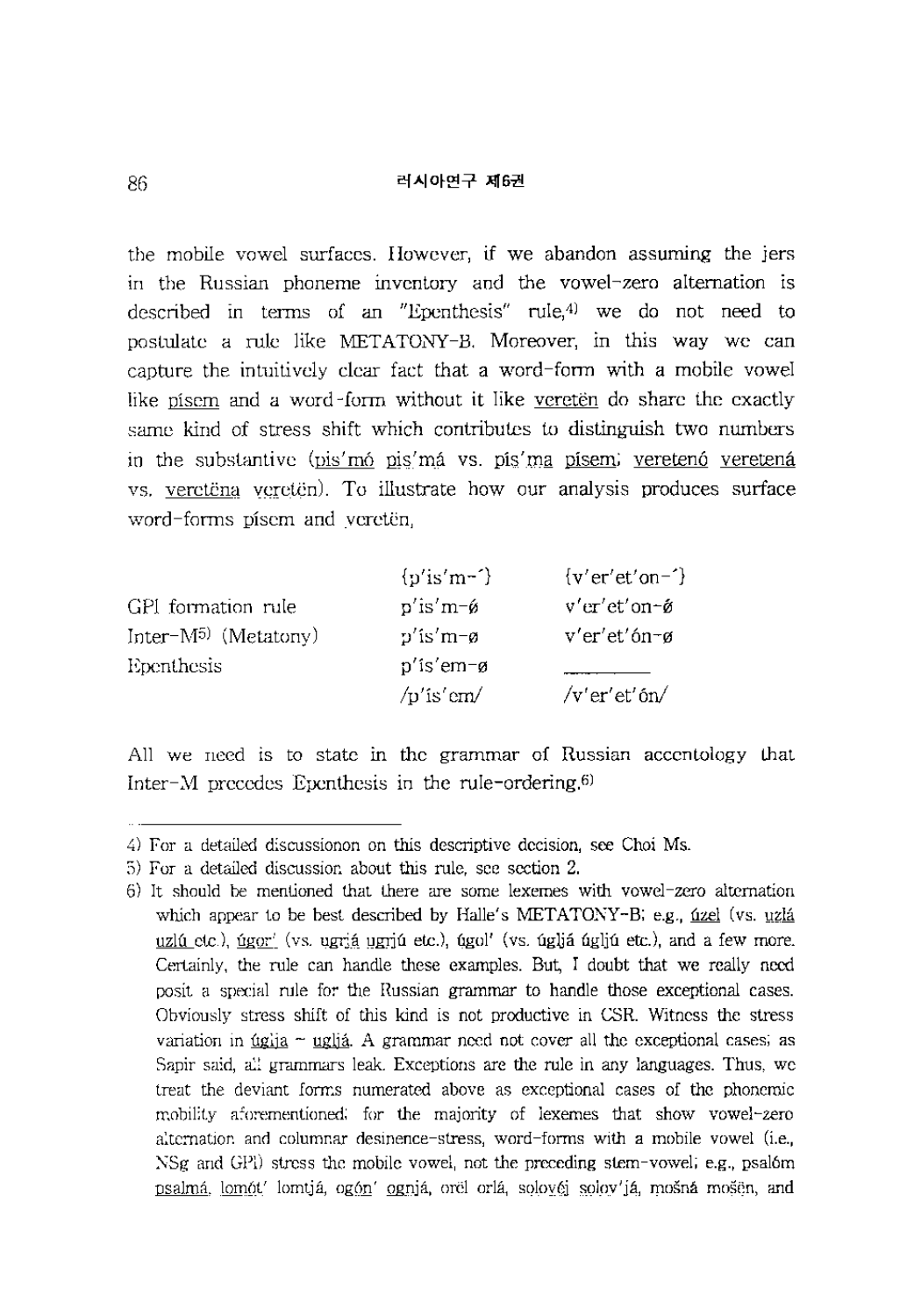the mobile vowel surfaces. However, if we abandon assuming the jers in the Russian phoneme inventory and the vowel-zero alternation is described in terms of an "Epenthesis" rule,4) we do not need to postulate a rule like METATONY-B. Moreover, in this way we can capture the intuitively clear fact that a word-form with a mobile vowel like pisem and a word-form without it like vereten do share the exactly same kind of stress shift which contributes to distinguish two numbers in the substantive (pis'mó pis'má vs. pís'ma písem; veretenó veretená vs. veretena vereten). To illustrate how our analysis produces surface word-forms pisern and vereten,

|                           | $\{p'\text{is'm-}\}$          | ${v'$ er'et'on-'} |
|---------------------------|-------------------------------|-------------------|
| GPI formation rule        | $p'$ is'm- $\mathfrak{g}$     | v'er'et'on∼ǿ      |
| Inter- $M^{5}$ (Metatony) | $p'$ is'm-ø                   | $v'$ er'et'ón-ø   |
| Epenthesis                | p'is'em-ø                     |                   |
|                           | $\sqrt{p}$ 'is' em $\sqrt{p}$ | $/v'$ er'et'ón/   |

All we need is to state in the grammar of Russian accentology that Inter-M precedes Epenthesis in the rule-ordering.6)

<sup>4)</sup> For a detailed discussionon on this descriptive decision, see Choi Ms.

<sup>5)</sup> For a detailed discussion about this rule, see section 2.

<sup>6)</sup> It should be mentioned that there are some lexemes with vowel-zero alternation which appear to be best described by Halle's METATONY-B; e.g.,  $uz$  (vs.  $uzlâ$ </u></u> uzlú etc.), úgor' (vs. ugr;á ugrjú etc.), úgol' (vs. úgljá úgljú etc.), and a few more. Certainly, the rule can handle these examples. But, I doubt that we really need posit a special rule for the Russian grammar to handle those exceptional cases. Obviously stress shift of this kind is not productive in CSR. Witness the stress variation in  $tagi a  $uglia$ . A grammar need not cover all the exceptional cases; as$ </u> Sapir said, all grammars leak. Exceptions are the rule in any languages. Thus, we treat the deviant forms numerated above as exceptional cases of the phonemic mobility aforementioned; for the majority of lexemes that show vowel-zero alternation and columnar desinence-stress, word-forms with a mobile vowel (i.e., NSg and GP]) stress the mobile vowel, not the preceding stem-vowel; e.g., psal6m psalmá, lomót' lomtiá, ogón' ogniá, orel orlá, solovéj solov'já, mošná mošen, and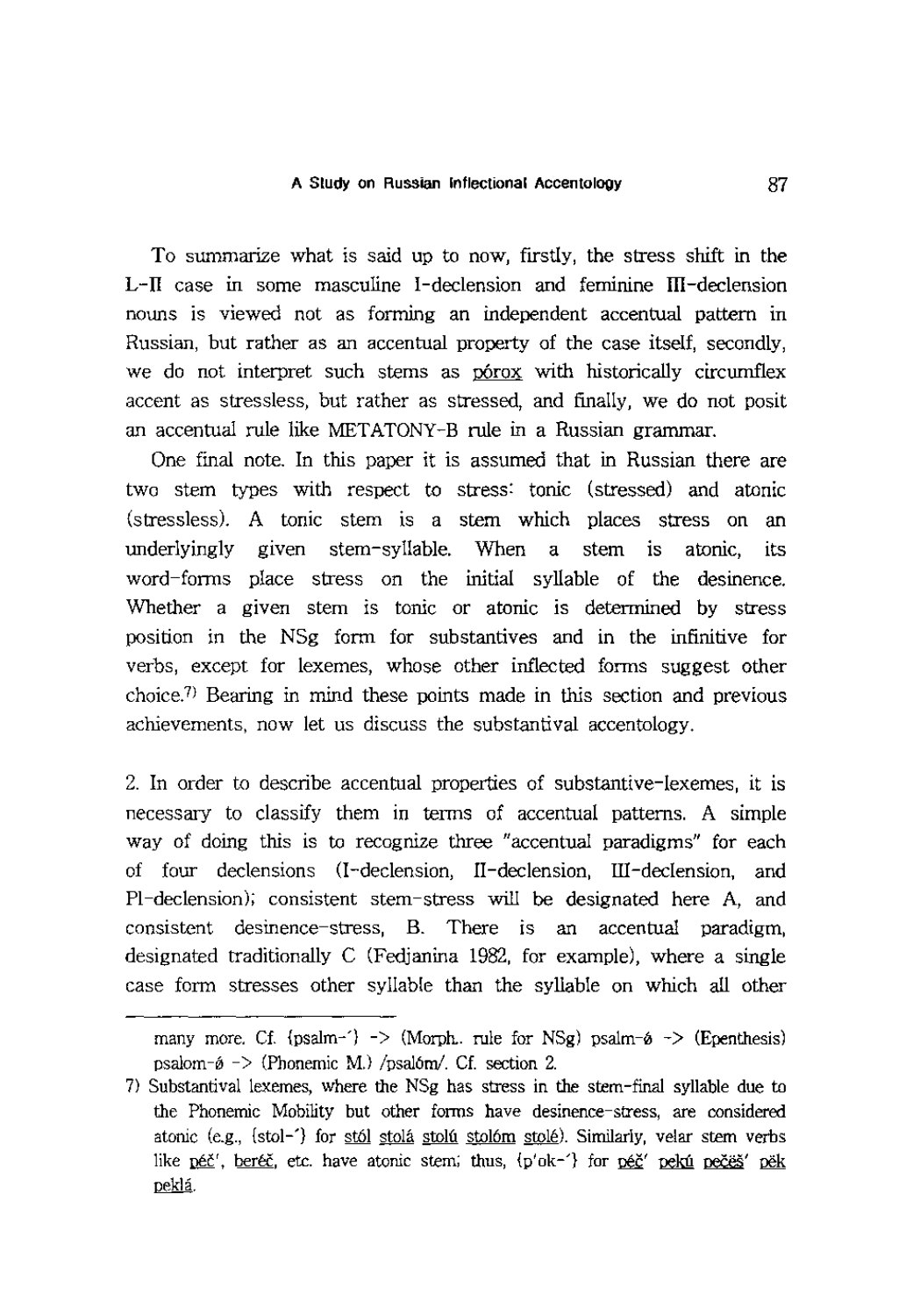To summarize what is said up to now, fIrstly, the stress shift in the L-II case in some masculine I -declension and feminine III -declension nouns is viewed not as forming an independent accentual pattern in Russian, but rather as an accentual property of the case itself, secondly, we do not interpret such stems as porox with historically circumflex accent as stressless, but rather as stressed, and fInally, we do not posit an accentual rule like MET ATONY -B rule in a Russian grammar.

One final note. **In** this paper it is assumed that in Russian there are two stem types with respect to stress: tonic (stressed) and atonic (stressless). A tonic stem is a stem which places stress on an underlyingly given stem-syllable. When a stem is atonic, its word-forms place stress on the initial syllable of the desinence. Whether a given stem is tonic or atonic is determined by stress position in the NSg form for substantives and in the infInitive for verbs, except for lexemes, whose other inflected forms suggest other choice)) Bearing in mind these points made in this section and previous achievements, now let us discuss the substantival accentology.

2. **In** order to describe accentual properties of substantive-Iexemes, it is necessary to classify them in terms of accentual patterns. A simple way of doing this is to recognize three "accentual paradigms" for each of four declensions (I -declension, II -declension, III -declension, and PI-declension); consistent stem-stress will be designated here A, and consistent desinence-stress, B. There is an accentual paradigm, designated traditionally C (Fedjanina 1982, for example), where a single case form stresses other syllable than the syllable on which all other

many more. Cf. {psalm-'}  $\rightarrow$  (Morph. rule for NSg) psalm- $\phi \rightarrow$  (Epenthesis) psalom- $\phi$  -> (Phonemic M.) /psalóm/. Cf. section 2.

<sup>7)</sup> Substantival lexemes, where the NSg has stress in the stem-final syllable due to the Phonemic Mobility but other forms have desinence-stress, are considered atonic (e.g., {stol-'} for st61 stoIa stolu stol6m stole). Similarly, velar stem verbs like  $p \notin Y'$ , ber $\in \mathcal{E}$ , etc. have atonic stem; thus,  $\{p'ok^{-1}\}$  for  $p \notin Y'$  reku recess' pek pekla.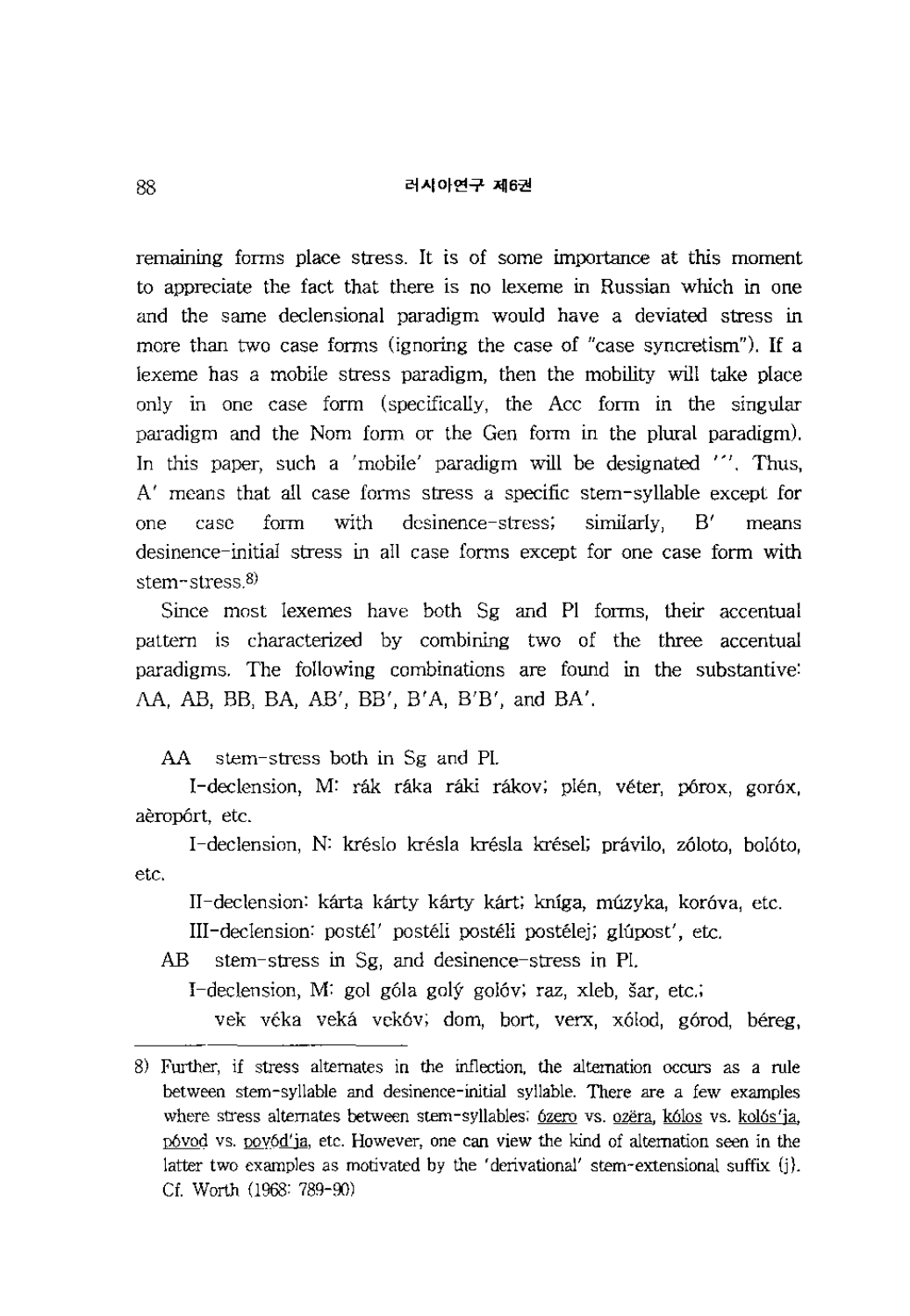remaining forms place stress. It is of some importance at this moment to appreciate the fact that there is no lexeme in Russian which in one and the same declensional paradigm would have a deviated stress in more than two case forms (ignoring the case of "case syncretism"). If a lexeme has a mobile stress paradigm, then the mobility will take place only in one case form (specifically, the Acc form in the singular paradigm and the Nom form or the Gen form in the plural paradigm). In this paper, such a 'mobile' paradigm will be designated "'. Thus, A' means that all case forms stress a specific stem-syllable except for one case form with desinence-stress; similarly, B' means desinence-initial stress in all case forms except for one case form with stem-stress.8)

Since most lexemes have both Sg and PI forms, their accentual pattern is characterized by combining two of the three accentual paradigms. The following combinations are found in the substantive: AA, AB, BB, BA, AB', BB', B'A, B'B', and BA'.

AA stem-stress both in Sg and PI.

I-declension, M: rák ráka ráki rákov; plén, véter, pórox, goróx, aerop6rt, etc.

etc. I -declension, N: kreslo kresla kresla kresel; pravilo, z6loto, bo16to,

II-declension: kárta kárty kárty kárt; kníga, múzyka, koróva, etc.

III-declension: postel' posteli posteli postelej; glupost', etc.

AB stem-stress in Sg, and desinence-stress in PI.

I-declension, M: gol góla golý golóv; raz, xleb, šar, etc.;

vek véka veká vekóv; dom, bort, verx, xólod, górod, béreg,

<sup>8)</sup> Further, if stress alternates in the inflection, the alternation occurs as a rule between stem-syllable and desinence-initial syllable. There are a few examples where stress alternates between stem-syllables; 6zero vs. ozëra, k6los vs. kol6s'ja, p6vod vs. oov6d'ja, etc. However, one can view the kind of alternation seen in the latter two examples as motivated by the 'derivational' stem-extensional suffix (j). *ct.* Worth (1968: 789-90)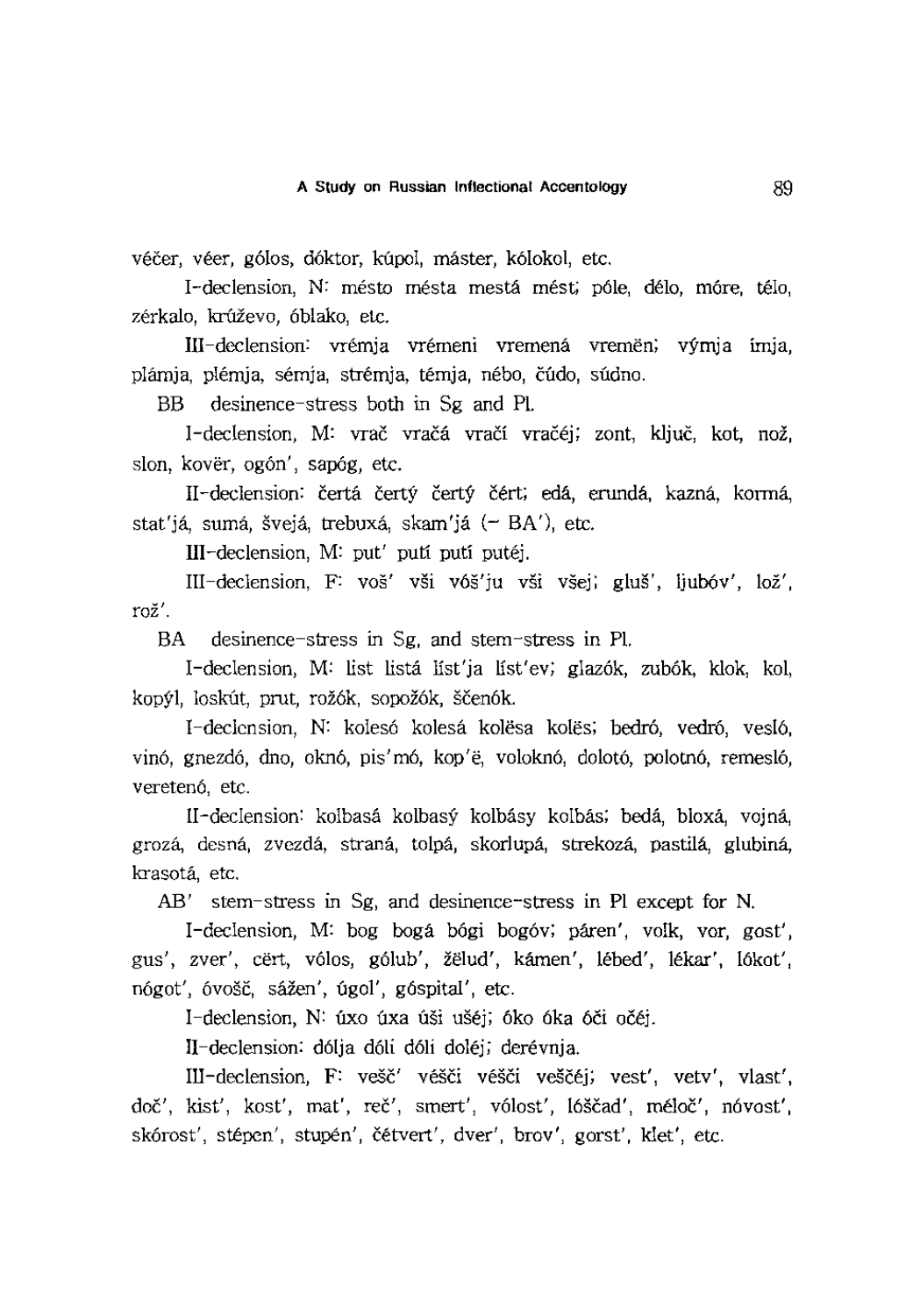véčer, véer, gólos, dóktor, kúpol, máster, kólokol, etc.

I-declension, N: mésto mésta mestá mést; póle, délo, móre, télo, zérkalo, krúževo, óblako, etc.

III-declension: vrémja vrémeni vremená vreměn; výmja imja, plamja, plemja, semja, stremja, temja, nebo, cudo, sudno.

BB desinence-stress both in Sg and PI.

I-declension, M: vrač vračá vračí vračej; zont, ključ, kot, nož, slon, kovër, ogón', sapóg, etc.

II-declension: čertá čertý čertý čért; edá, erundá, kazná, kormá, stat'já, sumá, švejá, trebuxá, skam'já  $(-BA')$ , etc.

III-declension, M: put' puti puti putej.

III-declension, F: vos' vsi v6s'ju vsi vsej; glus', Ijub6v', loz', *roi'.* 

BA desinence-stress in Sg, and stem-stress in PI.

I-declension, M: list lista list'ja list'ev; glaz6k, zub6k, klok, kol, kopýl, loskút, prut, rožók, sopožók, ščenók.

I-declension, N: koles6 kolesa kolesa koles; bedr6, vedr6, veslo, vinó, gnezdó, dno, oknó, pis'mó, kop'ë, voloknó, dolotó, polotnó, remesló, vereten6, etc.

II-declension: kolbasa kolbasy kolbasy kolbas; beda, bloxa, vojna, grozá, desná, zvezdá, straná, tolpá, skorlupá, strekozá, pastilá, glubiná, krasota, etc.

AB' stem-stress in Sg, and desinence-stress in PI except for N.

I-declension, M: bog boga b6gi bog6v; paren', Yolk, vor, gost', gus', zver', cërt, vólos, gólub', žëlud', kámen', lébed', lékar', lókot', nógot', óvošč, sážen', úgol', góspital', etc.

I-declension, N: úxo úxa úši ušéj; óko óka óči očéj.

II-declension: dolja d6li d6li dolej; derevnja.

III-declension, F: vešč' véšči véšči veščéj; vest', vetv', vlast', doč', kist', kost', mat', reč', smert', vólost', lóščad', méloč', nóvost', skórost', stépen', stupén', čétvert', dver', brov', gorst', klet', etc.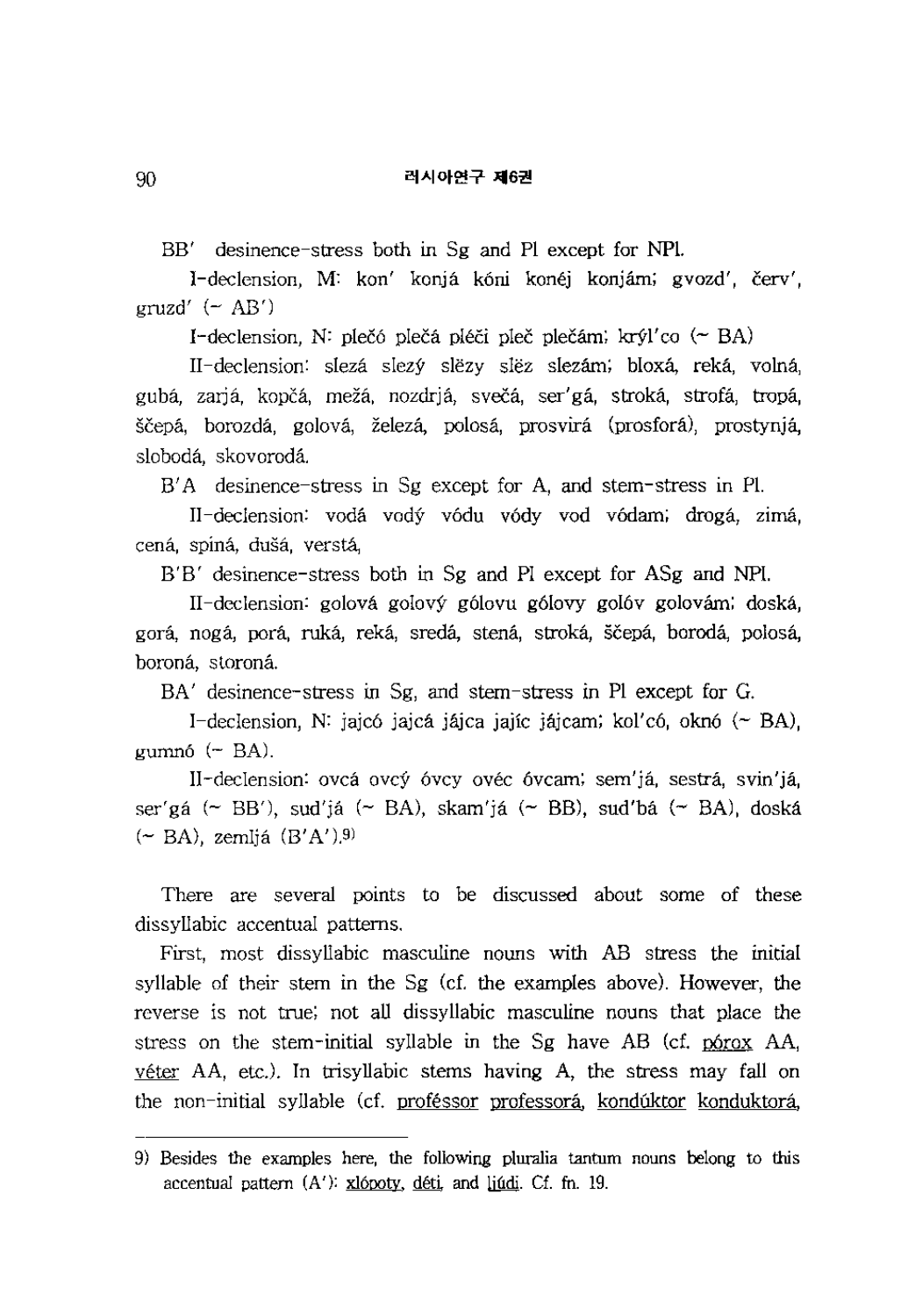BB' desinence-stress both in Sg and PI except for NPI.

I-declension, M: kon' konjá kóni konéj konjám; gvozd', červ',  $gruzd'$  ( $\sim$  AB')

I-declension, N: plečó plečá pléči pleč plečám; krý $l'$ co (~ BA)

II-declension: slezá slezý slezy slez slezám; bloxá, reká, volná, gubá, zarjá, kopčá, mežá, nozdrjá, svečá, ser'gá, stroká, strofá, tropá, ščepá, borozdá, golová, železá, polosá, prosvirá (prosforá), prostynjá, sloboda, skovoroda.

B' A desinence-stress in Sg except for A, and stem-stress in PI.

II-declension: vodá vodý vódu vódy vod vódam; drogá, zimá, cena, spina, dusa, versta,

B'B' desinence-stress both in Sg and PI except for ASg and NPl.

II-declension: golova golovy g6lovu g6lovy go16v golovam; doska, gora, noga, para, ruka, reka, sreda, stena, stroka, scepa, boroda, polosa, boroná, storoná.

BA' desinence-stress in Sg, and stem-stress in PI except for G.

I-declension, N: jajcó jajcá jájca jajíc jájcam; kol'có, oknó  $($  BA),  $gummó$  ( $-BA$ ).

II-declension: ovca ovcy 6vcy ovec 6vcam; sem'ja, sestra, svin'ja, ser'gá (~ BB'), sud'já (~ BA), skam'já (~ BB), sud'bá (~ BA), doská  $(\sim$  BA), zemljá  $(B'A')$ .<sup>9)</sup>

There are several points to be discussed about some of these dissyllabic accentual patterns.

First, most dissyllabic masculine nouns with AB stress the initial syllable of their stem in the Sg (cf. the examples above). However, the reverse is not true; not all dissyllabic masculine nouns that place the stress on the stem-initial syllable in the Sg have AB (cf. 06rox AA, véter AA, etc.). In trisyllabic stems having A, the stress may fall on the non-initial syllable (cf. proféssor professorá, kondúktor konduktorá,

<sup>9)</sup> Besides the examples here, the following pluralia tantum nouns belong to this accentual pattern  $(A')$ :  $xlopoty$ ,  $déti$ , and  $lifdi$ . Cf. fn. 19.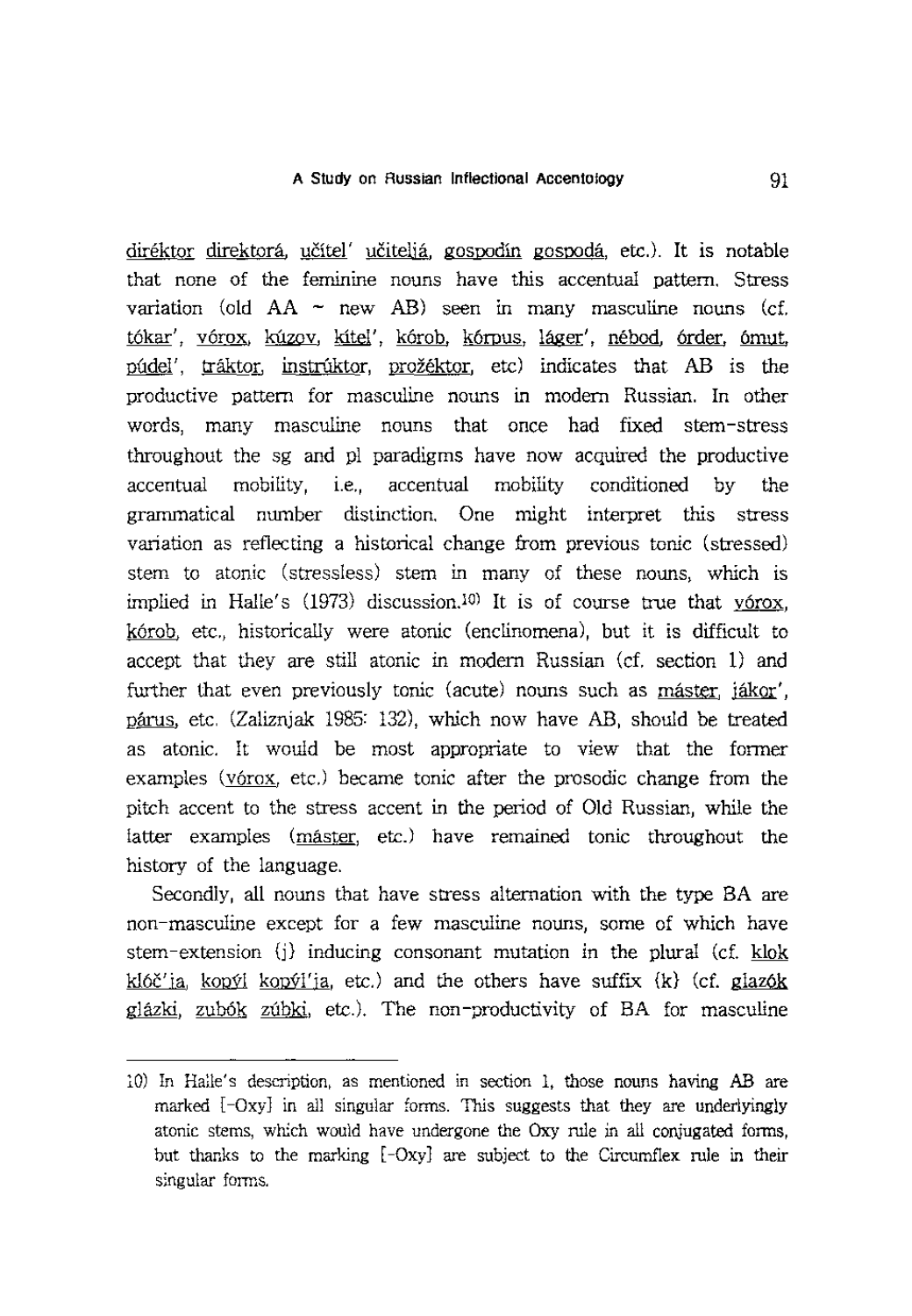diréktor direktorá, učítel' učiteljá, gospodín gospodá, etc.). It is notable that none of the feminine nouns have this accentual pattern. Stress variation (old  $AA \sim$  new AB) seen in many masculine nouns (cf. tókar', vórox, kúzov, kítel', kórob, kórpus, láger', nébod, órder, ómut, púdel', tráktor, instrúktor, prožéktor, etc) indicates that AB is the productive pattern for masculine nouns in modem Russian. In other words, many masculine nouns that once had fixed stem-stress throughout the sg and pI paradigms have now acquired the productive accentual mobility, i.e., accentual mobility conditioned by the grammatical number distinction. One might interpret this stress variation as reflecting a historical change from previous tonic (stressed) stem to atonic (stressless) stem in many of these nouns, which is implied in Halle's  $(1973)$  discussion.<sup>10)</sup> It is of course true that v6rox, k6rob, etc., historically were atonic (enclinomena), but it is difficult to accept that they are still atonic in modem Russian (cf. section 1) and further that even previously tonic (acute) nouns such as máster, jákor', parns, etc. (Zaliznjak 1985: 132), which now have AB, should be treated as atonic. It would be most appropriate to view that the former examples (vórox, etc.) became tonic after the prosodic change from the pitch accent to the stress accent in the period of Old Russian, while the latter examples (master, etc.) have remained tonic throughout the history of the language.

Secondly, all nouns that have stress alternation with the type BA are non-masculine except for a few masculine nouns, some of which have stem-extension {j} inducing consonant mutation in the plural (cf. klok klóč'ja, kopýl kopýl'ja, etc.) and the others have suffix  $(k)$  (cf. glazók glazki, zub6k zubki, etc.). The non-productivity of BA for masculine

<sup>10)</sup> In Halle's description, as mentioned in section 1, those nouns having AB are marked [-Oxy] in all singular forms. This suggests that they are underlyingly atonic stems, which would have undergone the Oxy rule in all conjugated forms, but thanks to the marking [-Oxy] are subject to the Circumflex rule in their singular forms.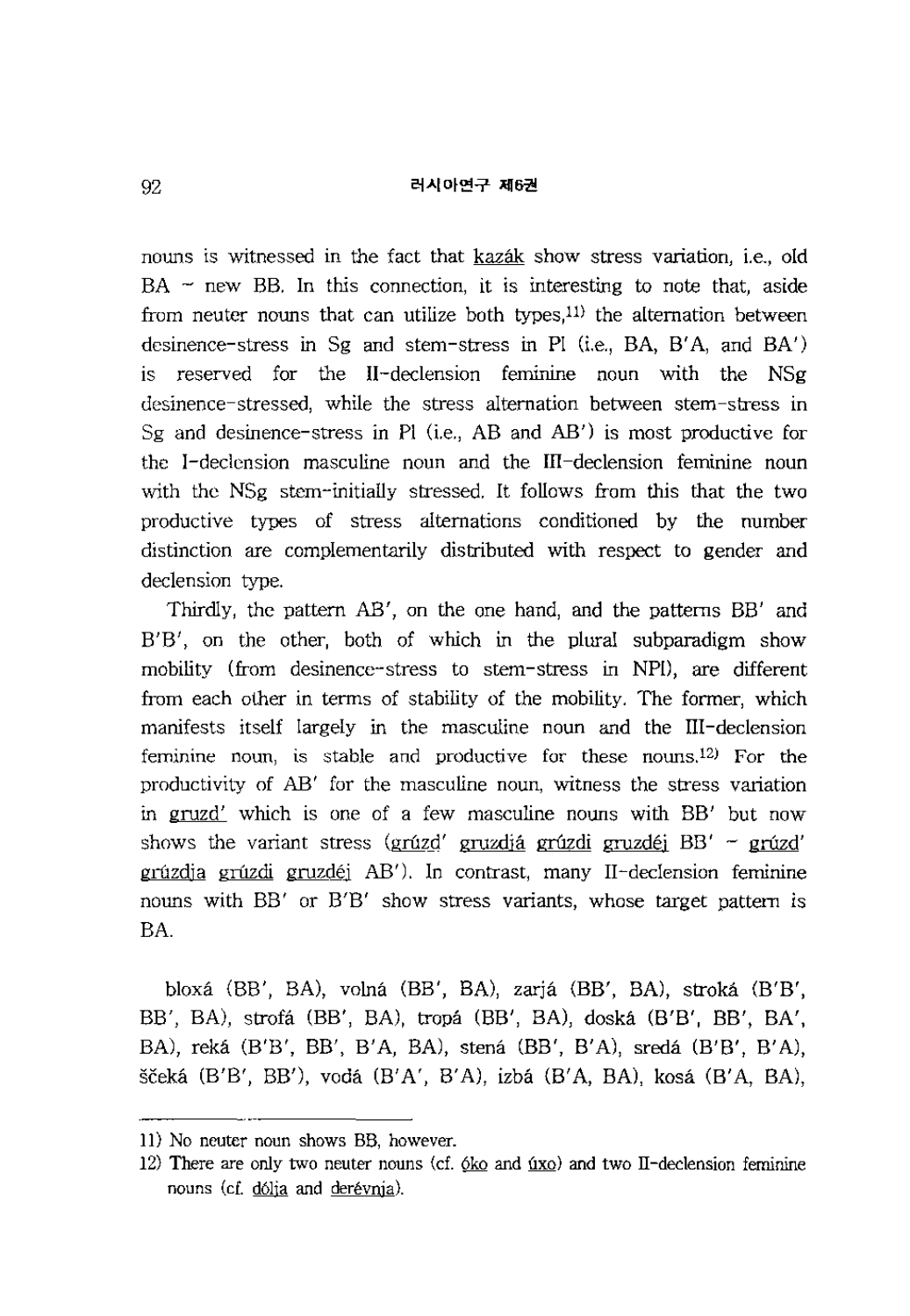nouns is witnessed in the fact that kazák show stress variation, i.e., old  $BA \sim$  new BB. In this connection, it is interesting to note that, aside from neuter nouns that can utilize both types, $11$ ) the alternation between desinence-stress in Sg and stem-stress in PI (i.e.,  $BA$ ,  $B'A$ , and  $BA'$ ) is reserved for the II-declension feminine noun with the NSg desinence-stressed, while the stress alternation between stem-stress in Sg and desinence-stress in **PI** (i.e., AB and AB') is most productive for the I -declension masculine noun and the III -declension feminine noun with the NSg stem-initially stressed. It follows from this that the two productive types of stress alternations conditioned by the number distinction are complementarily distributed with respect to gender and declension type.

Thirdly, the pattern AB', on the one hand, and the patterns BB' and B'B', on the other, both of which in the plural subparadigm show mobility (from desinence-stress to stem-stress in NPI), are different from each other in terms of stability of the mobility. The former, which manifests itself largely in the masculine noun and the III-declension feminine noun, is stable and productive for these nouns.<sup>12)</sup> For the productivity of AB' for the masculine noun, witness the stress variation in gruzd' which is one of a few masculine nouns with BB' but now shows the variant stress (grúzd' gruzdjá grúzdi gruzdéj  $BB'$  - grúzd' grúzdia grúzdi gruzdéj AB'). In contrast, many II-declension feminine nouns with BB' or B'B' show stress variants, whose target pattern is BA.

bloxa (BB', BA), volna (BB', BA), zarja (BB', BA), stroka (B'B', BB', BA), strofa (BB', BA), tropa (BB', BA), doska (B'B', BB', BA', BA), reka (B'B', BB', B'A, BA), stena (BB', B'A), sreda (B'B', B'A), ščeká (B'B', BB'), vodá (B'A', B'A), izbá (B'A, BA), kosá (B'A, BA),

ll) No neuter noun shows BB, however.

<sup>12)</sup> There are only two neuter nouns (cf.  $6k_0$  and  $4x_0$ ) and two II-declension feminine nouns (cf. dólja and derévnia).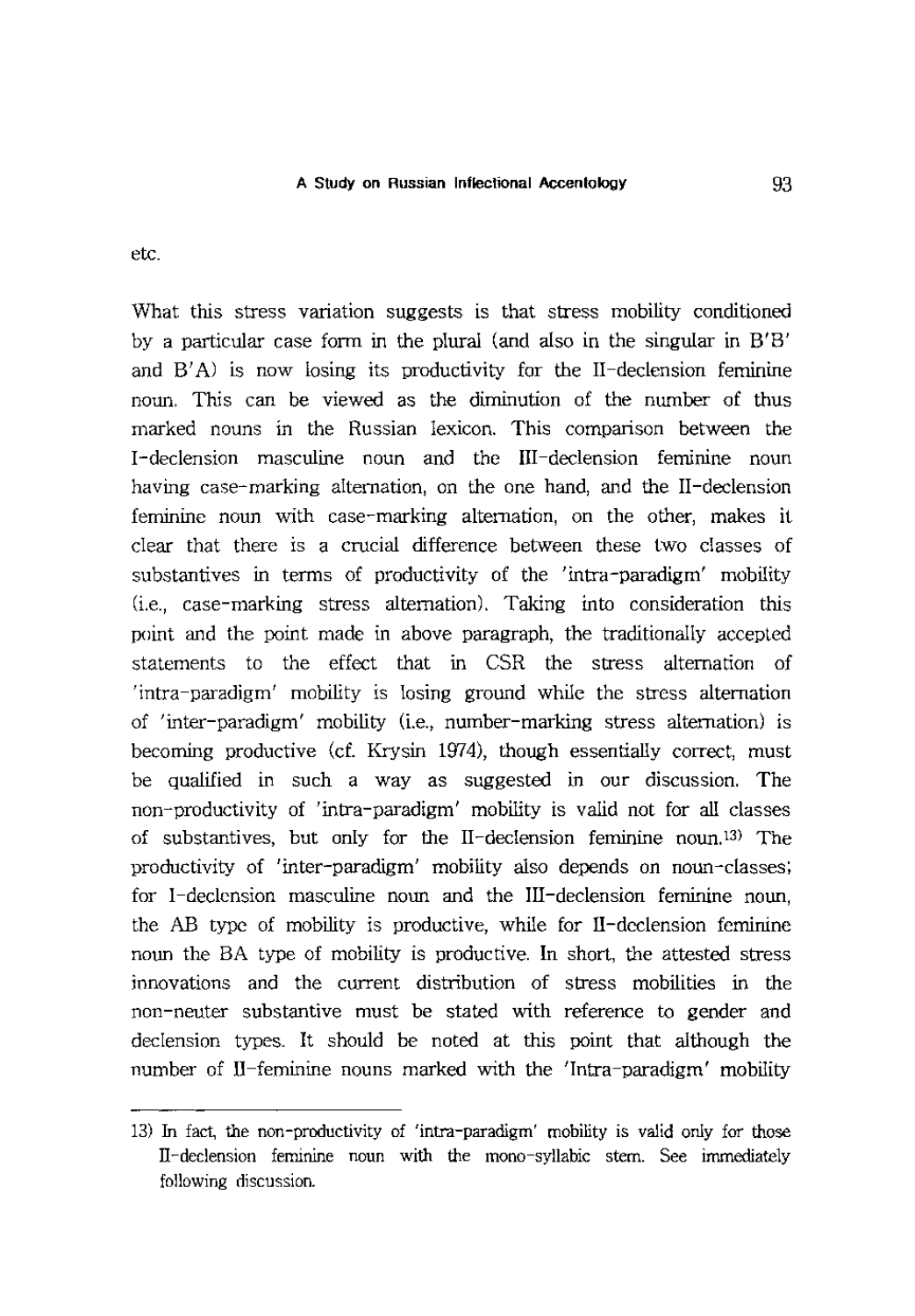etc.

What this stress variation suggests is that stress mobility conditioned by a particular case fonn in the plural (and also in the singular in B'B' and  $B' A$ ) is now losing its productivity for the II-declension feminine noun. This can be viewed as the diminution of the number of thus marked nouns in the Russian lexicon. This comparison between the I -declension masculine noun and the III -declension feminine noun having case-marking alternation, on the one hand, and the II-declension feminine noun with case-marking alternation, on the other, makes it clear that there is a crucial difference between these two classes of substantives in tenns of productivity of the 'intra-paradigm' mobility (i.e., case-marking stress alternation). Taking into consideration this point and the point made in above paragraph, the traditionally accepted statements to the effect that in CSR the stress alternation of 'intra-paradigm' mobility is losing ground while the stress alternation of 'inter-paradigm' mobility (i.e., number-marking stress alternation) is becoming productive (d. Krysin 1974), though essentially correct, must be qualified in such a way as suggested in our discussion. The non-productivity of 'intra-paradigm' mobility is valid not for all classes of substantives, but only for the II-declension feminine noun.13) The productivity of 'inter-paradigm' mobility also depends on noun-classes; for I-declension masculine noun and the III-declension feminine noun, the AB type of mobility is productive, while for II-declension feminine noun the BA type of mobility is productive. In short, the attested stress innovations and the current distribution of stress mobilities in the non-neuter substantive must be stated with reference to gender and declension types. It should be noted at this point that although the number of II-feminine nouns marked with the 'Intra-paradigm' mobility

<sup>13)</sup> In fact, the non-productivity of 'intra-paradigm' mobility is valid only for those IT-declension feminine noun with the mono-syllabic stem. See immediately following discussion.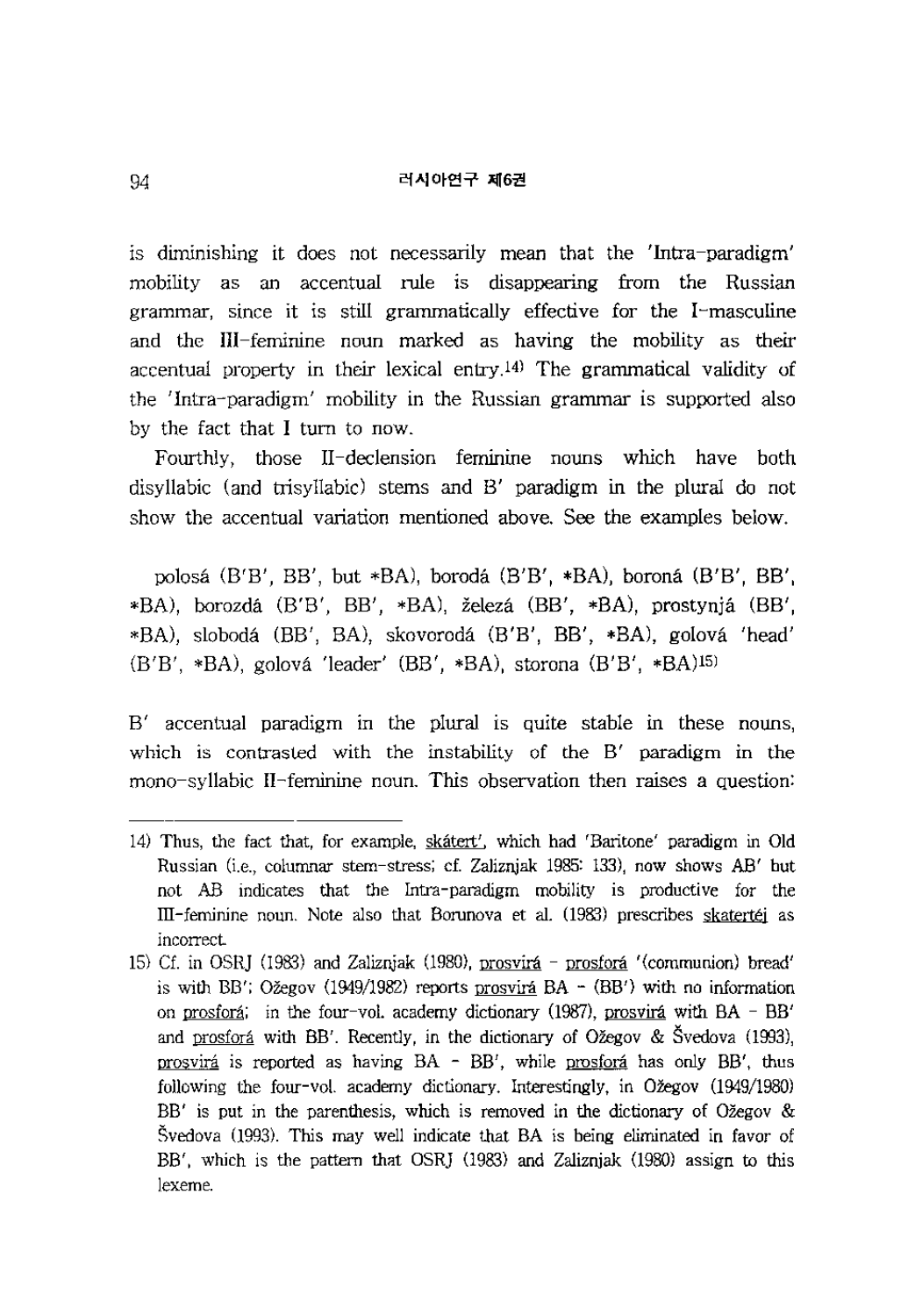is diminishing it does not necessarily mean that the 'Intra-paradigm' mobility as an accentual rule is disappearing from the Russian grammar, since it is still grammatically effective for the I-masculine and the III-feminine noun marked as having the mobility as their accentual property in their lexical entry.<sup>[4]</sup> The grammatical validity of the 'Intra-paradigm' mobility in the Russian grammar is supported also by the fact that I turn to now.

Fourthly, those II-declension feminine nouns which have both disyllabic (and trisyllabic) stems and B' paradigm in the plural do not show the accentual variation mentioned above. See the examples below.

polosa (B'B', BB', but \*BA), boroda (B'B', \*BA), borona (B'B', BB', \*BA), borozda (B'B', BB', \*BA), zeleza (BB', \*BA), prostynja (BB', \*BA), sloboda (BB', BA), skovoroda (B'B', BB', \*BA), golova 'head' (B'B', \*BA), golova 'leader' (BB', \*BA), storona (B'B', \*BA)15)

B' accentual paradigm in the plural is quite stable in these nouns, which is contrasted with the instability of the B' paradigm in the mono-syllabic II-feminine noun. This observation then raises a question:

<sup>14)</sup> Thus, the fact that, for example, skatert', which had 'Baritone' paradigm in Old Russian (i.e., columnar stem-stress; cf. Zaliznjak 1985: 133), now shows *AW* but not AB indicates that the Intra-paradigm mobility is productive for the ill-feminine noun. Note also that Borunova et al. (1983) prescribes skatertej as incorrect

<sup>15)</sup> Cf. in OSRJ (1983) and Zaliznjak (1980), prosvirá – prosforá '(communion) bread' is with BB'; Ožegov  $(1949/1982)$  reports prosvirá BA -  $(BB')$  with no information on prosforá; in the four-vol. academy dictionary (1987), prosvirá with  $BA - BB'$ and prosforá with BB'. Recently, in the dictionary of Ožegov & Švedova (1993), prosvirá is reported as having BA - BB', while prosforá has only BB', thus following the four-vol. academy dictionary. Interestingly, in Ožegov (1949/1980)  $BB'$  is put in the parenthesis, which is removed in the dictionary of Ožegov & Svedova (993). This may well indicate that BA is being eliminated in favor of BB', which is the pattern that OSRJ (1983) and Zaliznjak (1980) assign to this lexeme.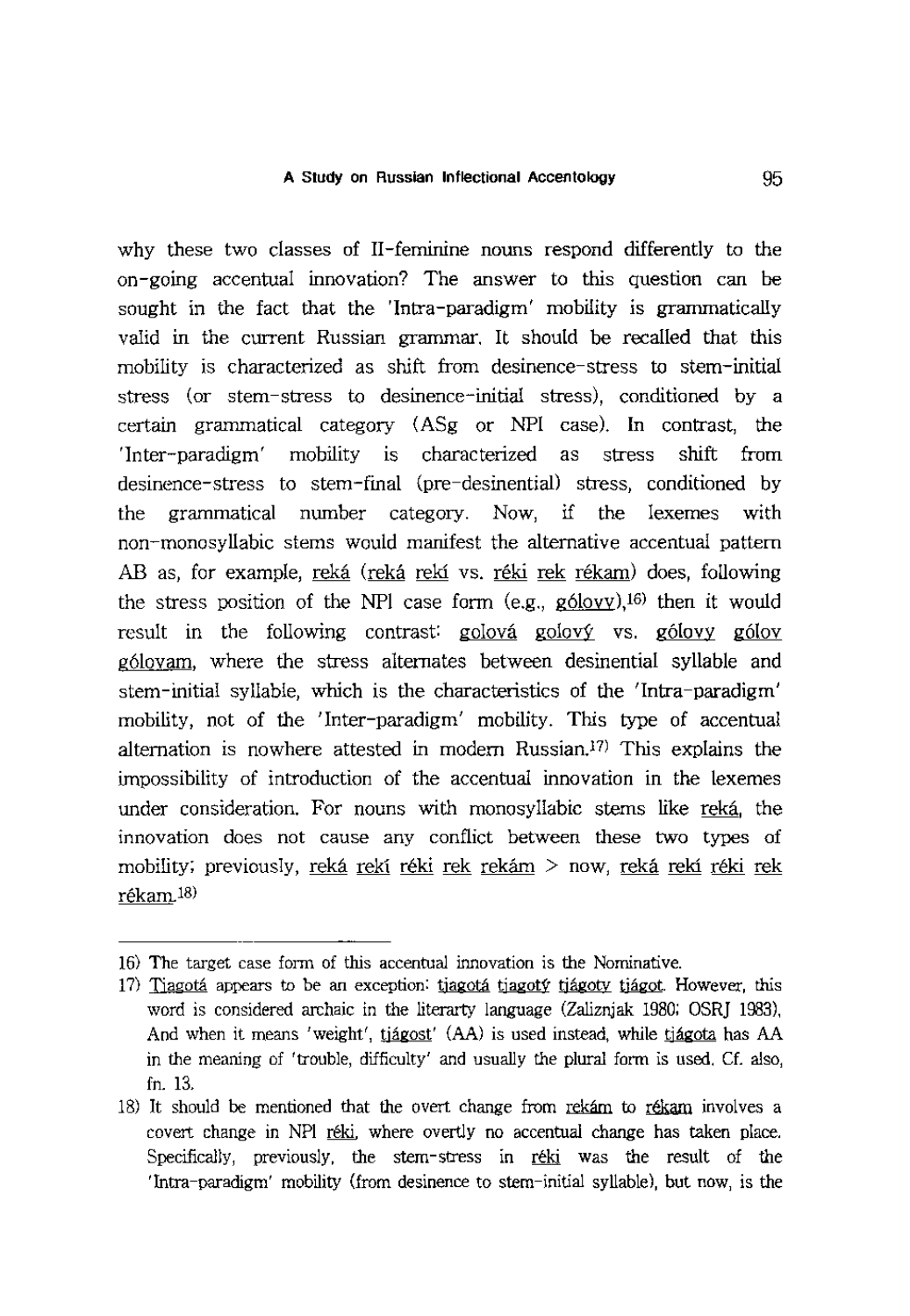why these two classes of II-feminine nouns respond differently to the on-going accentual innovation? The answer to this question can be sought in the fact that the 'Intra-paradigm' mobility is grammatically valid in the current Russian grammar. **It** should be recalled that this mobility is characterized as shift from desinence-stress to stem-initial stress (or stem-stress to desinence-initial stress), conditioned by a certain grammatical category (ASg or NPl case). **In** contrast, the 'Inter-paradigm' mobility is characterized as stress shift from desinence-stress to stem-final (pre-desinential) stress, conditioned by the grammatical number category. Now, if the lexemes with non-monosyllabic stems would manifest the alternative accentual pattern AB as, for example, reka (reka reki vs. reki rek rekam) does, following the stress position of the NPl case form (e.g., g6lovy),16) then it would result in the following contrast: golová golový vs. gólovy gólov g6lovam, where the stress alternates between desinential syllable and stem-initial syllable, which is the characteristics of the 'Intra-paradigm' mobility, not of the 'Inter-paradigm' mobility. This type of accentual alternation is nowhere attested in modern Russian.<sup>17)</sup> This explains the impossibility of introduction of the accentual innovation in the lexemes under consideration. For nouns with monosyllabic stems like reká, the innovation does not cause any conflict between these two types of mobility; previously, reká rekí réki rek rekám  $>$  now, reká rekí réki rek rekam.1S)

<sup>16)</sup> The target case fonn of this accentual innovation is the Nominative.

<sup>17)</sup> Tjagotá appears to be an exception: tjagotá tjagoty tjágoty tjágot. However, this word is considered archaic in the literarty language (Zaliznjak 1980; OSR] 1983), And when it means 'weight', tjágost' (AA) is used instead, while tjágota has AA in the meaning of 'trouble, difficulty' and usually the plural fonn is used. Cf. also, fn. 13.

<sup>18)</sup> It should be mentioned that the overt change from rekam to rekam involves a covert change in NPI reki, where overtly no accentual change has taken place. Specifically, previously, the stem-stress in reki was the result of the 'Intra-paradigm' mobility (from desinence to stem-initial syllable), but now, is the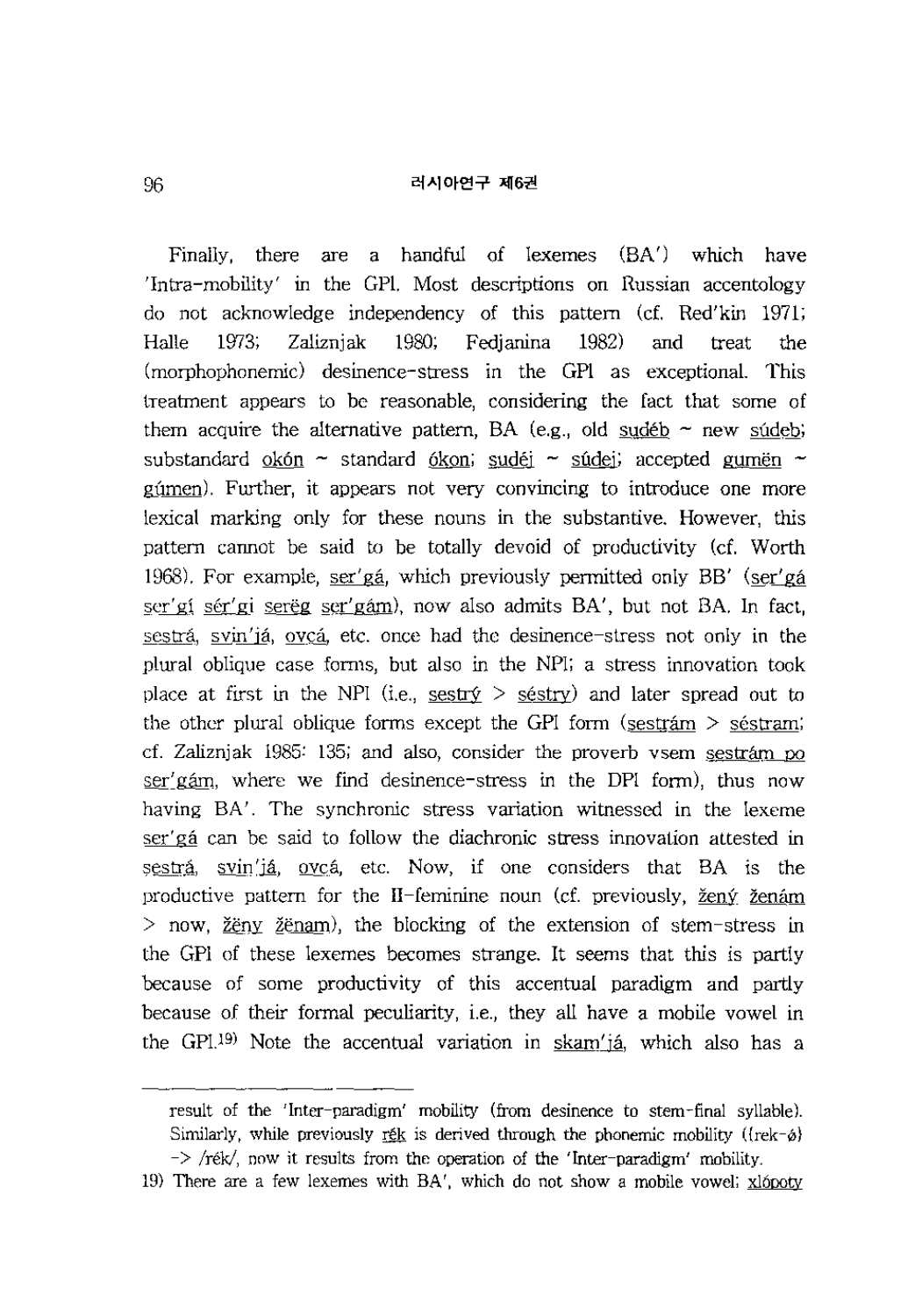Finally, there are a handful of lexemes (BA') which have 'Intra-mobility' in the GPl. Most descriptions on Russian accentology do not acknowledge independency of this pattern (cf. Red'kin 1971; Halle 1973; Zaliznjak 1980; Fedjanina 1982) and treat the (morphophonemic) desinence-stress in the GPI as exceptional. This treatment appears to be reasonable, considering the fact that some of them acquire the alternative pattern, BA (e.g., old sudeb  $\sim$  new sudeb; substandard okón ~ standard ókon; sudéj ~ súdej; accepted gumën ~ gumen). Further, it appears not very convincing to introduce one more lexical marking only for these nouns in the substantive. However, this pattern cannot be said to be totally devoid of productivity (cf. Worth 1968). For example, ser'ga, which previously permitted only BB' (ser'ga ser' gi sér' gi serëg ser' gám), now also admits BA', but not BA. In fact, sestrá, svin'já, ovcá, etc. once had the desinence-stress not only in the plural oblique case forms, but also in the NFl; a stress innovation took place at first in the NPI (i.e., sestr $\circ$  > séstry) and later spread out to the other plural oblique forms except the GPI form (sestram  $>$  séstram; cf. Zaliznjak 1985: 135; and also, consider the proverb vsem sestram po  $ser'$  gam, where we find desinence-stress in the DPI form), thus now having BA'. The synchronic stress variation witnessed in the lexeme ser'ga can be said to follow the diachronic stress innovation attested in sestrá, svin'já, ovcá, etc. Now, if one considers that BA is the productive pattern for the II-feminine noun (cf. previously, žený ženám  $>$  now, <u>ž</u>ëny ž<u>ënam</u>), the blocking of the extension of stem-stress in the GPI of these lexemes becomes strange. It seems that this is partly because of some productivity of this accentual paradigm and partly because of their formal peculiarity, i.e., they all have a mobile vowel in the GPL<sup>19)</sup> Note the accentual variation in  $\frac{\text{skam}'_1}{\text{ak}}$  which also has a

result of the 'Inter-paradigm' mobility (from desinence to stem-final syllable). Similarly, while previously ret is derived through the phonemic mobility ( ${\rm \{rek-\varphi\}}$  $\rightarrow$  /rék/, now it results from the operation of the 'Inter-paradigm' mobility.

<sup>19)</sup> There are a few lexemes with BA', which do not show a mobile vowel;  $x$ lópoty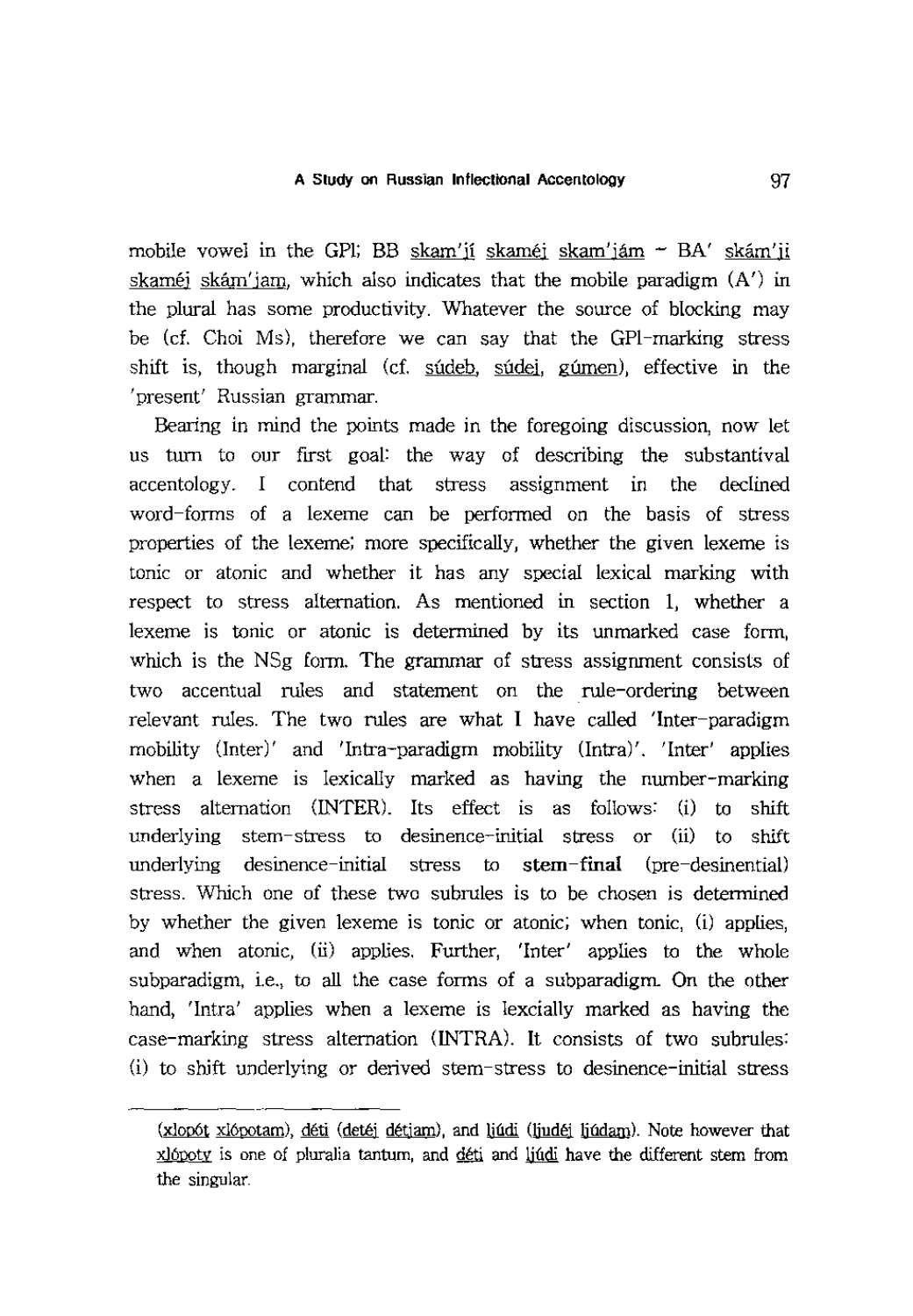mobile vowel in the GPI; BB skam'ji skaméj skam'jám ~ BA' skám'ji skaméj skám'jam, which also indicates that the mobile paradigm  $(A')$  in the plural has some productivity. Whatever the source of blocking may be (cf. Choi Ms), therefore we can say that the GPI-marking stress shift is, though marginal (cf. súdeb, súdei, gúmen), effective in the 'present' Russian grammar.

Bearing in mind the points made in the foregoing discussion, now let us turn to our first goal: the way of describing the substantival accentology. I contend that stress assignment In the declined word-forms of a lexeme can be performed on the basis of stress properties of the lexeme; more specifically, whether the given lexeme is tonic or atonic and whether it has any special lexical marking with respect to stress alternation. As mentioned in section 1, whether a lexeme is tonic or atonic is determined by its unmarked case form, which is the NSg form. The grammar of stress assignment consists of two accentual rules and statement on the rule-ordering between relevant rules. The two rules are what I have called 'Inter-paradigm mobility (Inter)' and 'Intra-paradigm mobility (Intra)'. 'Inter' applies when a lexeme is lexically marked as having the number-marking stress alternation (INTER). Its effect is as follows: (i) to shift underlying stem-stress to desinence-initial stress or (ii) to shift underlying desinence-initial stress to stem-final (pre-desinential) stress. Which one of these two subrules is to be chosen is determined by whether the given lexeme is tonic or atonic; when tonic, (i) applies, and when atonic, (ii) applies. Further, 'Inter' applies to the whole subparadigm, i.e., to all the case forms of a subparadigm. On the other hand, 'Intra' applies when a lexeme is lexcially marked as having the case-marking stress alternation (INTRA). It consists of two subrules: (i) to shift underlying or derived stem-stress to desinence-initial stress

<sup>(</sup>xlopót xlópotam), déti (detéj détjam), and ljúdi (ljudéj ljúdam). Note however that xlópoty is one of pluralia tantum, and déti and ljúdi have the different stem from the singular.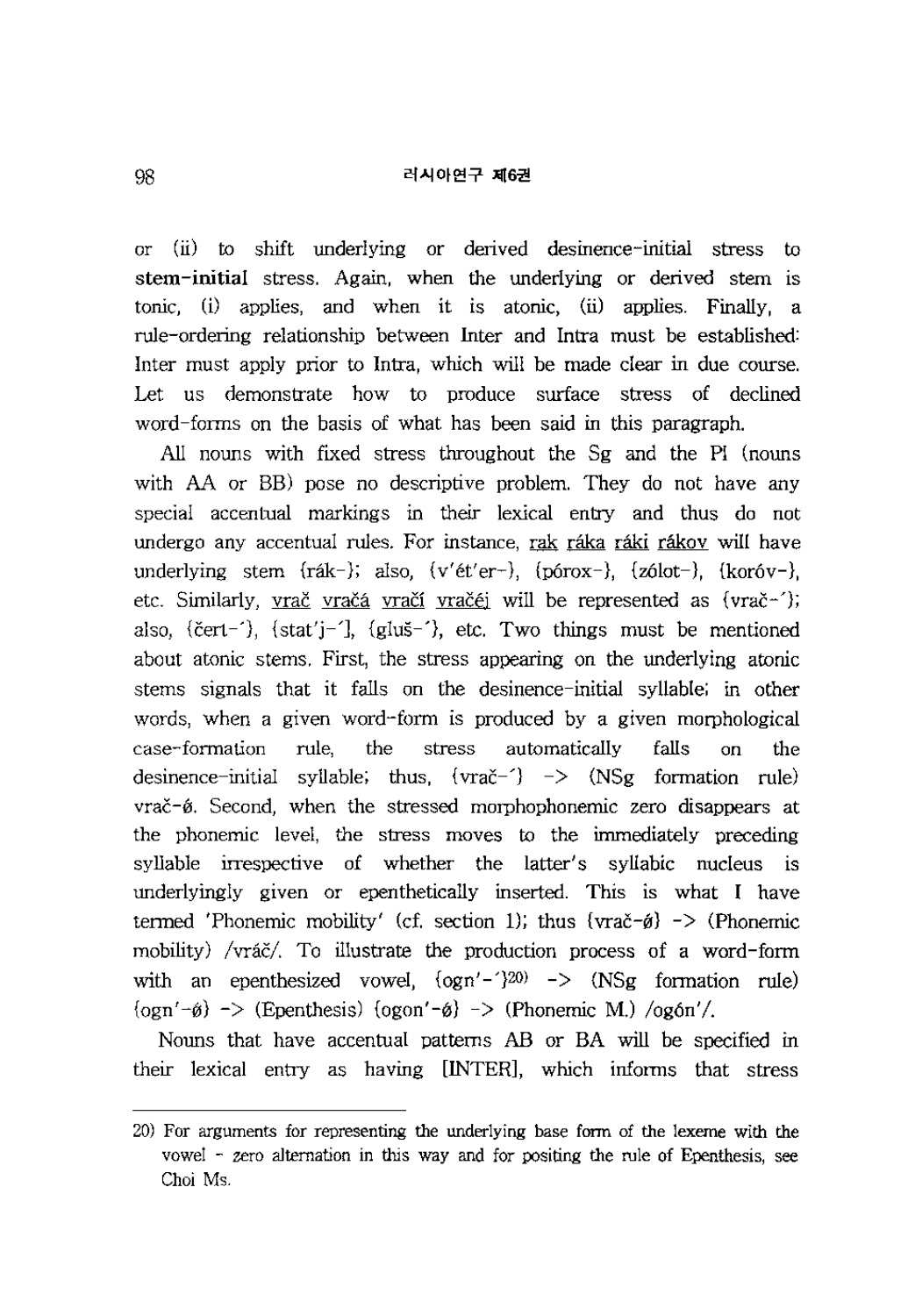or (ll) to shift underlying or derived desinence-initial stress to stem-initial stress. Again, when the underlying or derived stem is tonic,  $(i)$  applies, and when it is atonic,  $(ii)$  applies. Finally, a rule-ordering relationship between Inter and Intra must be established: Inter must apply prior to Intra, which will be made clear in due course. Let us demonstrate how to produce surface stress of declined word-forms on the basis of what has been said in this paragraph.

All nouns with fixed stress throughout the Sg and the PI (nouns with AA or BB) pose no descriptive problem. They do not have any special accentual markings in their lexical entry and thus do not undergo any accentual rules. For instance, rak raka raki rakov will have underlying stem {rák-}; also, {v'ét'er-}, {pórox-}, {zólot-}, {koróv-}, etc. Similarly, vrač vračá vračí vračéj will be represented as {vrač-'}; also, {c̆ert-'), {stat'j-'], {gluš-'}, etc. Two things must be mentioned about atonic stems. First, the stress appearing on the underlying atonic stems signals that it falls on the desinence-initial syllable; in other words, when a given word-form is produced by a given morphological case-formation rule, the stress automatically falls on the desinence-initial syllable; thus,  $\{vra\check{c}^{-1}\}$  ->  $\{NSg$  formation rule) vrač-ø. Second, when the stressed morphophonemic zero disappears at the phonemic level, the stress moves to the immediately preceding syllable irrespective of whether the latter's syllabic nucleus is underlyingly given or epenthetically inserted. This is what I have termed 'Phonemic mobility' (cf. section 1); thus  $\{ \text{vrač-\'ø} \}$  -> (Phonemic mobility) /vráč/. To illustrate the production process of a word-form with an epenthesized vowel,  $\{\text{ogn'}-\}^{20}$  ->  $\{\text{NSg} \text{ formation rule}\}$  $\{\text{ogn}'-\hat{\mathfrak{g}}\}$  -> (Epenthesis)  $\{\text{open}'-\hat{\mathfrak{g}}\}$  -> (Phonemic M.)  $\{\text{qqon}'\}$ .

Nouns that have accentual patterns AB or BA will be specified in their lexical entry as having [INTER], which informs that stress

<sup>20)</sup> For arguments for representing the underlying base form of the lexeme with the vowel - zero alternation in this way and for positing the rule of Epenthesis, see Choi Ms.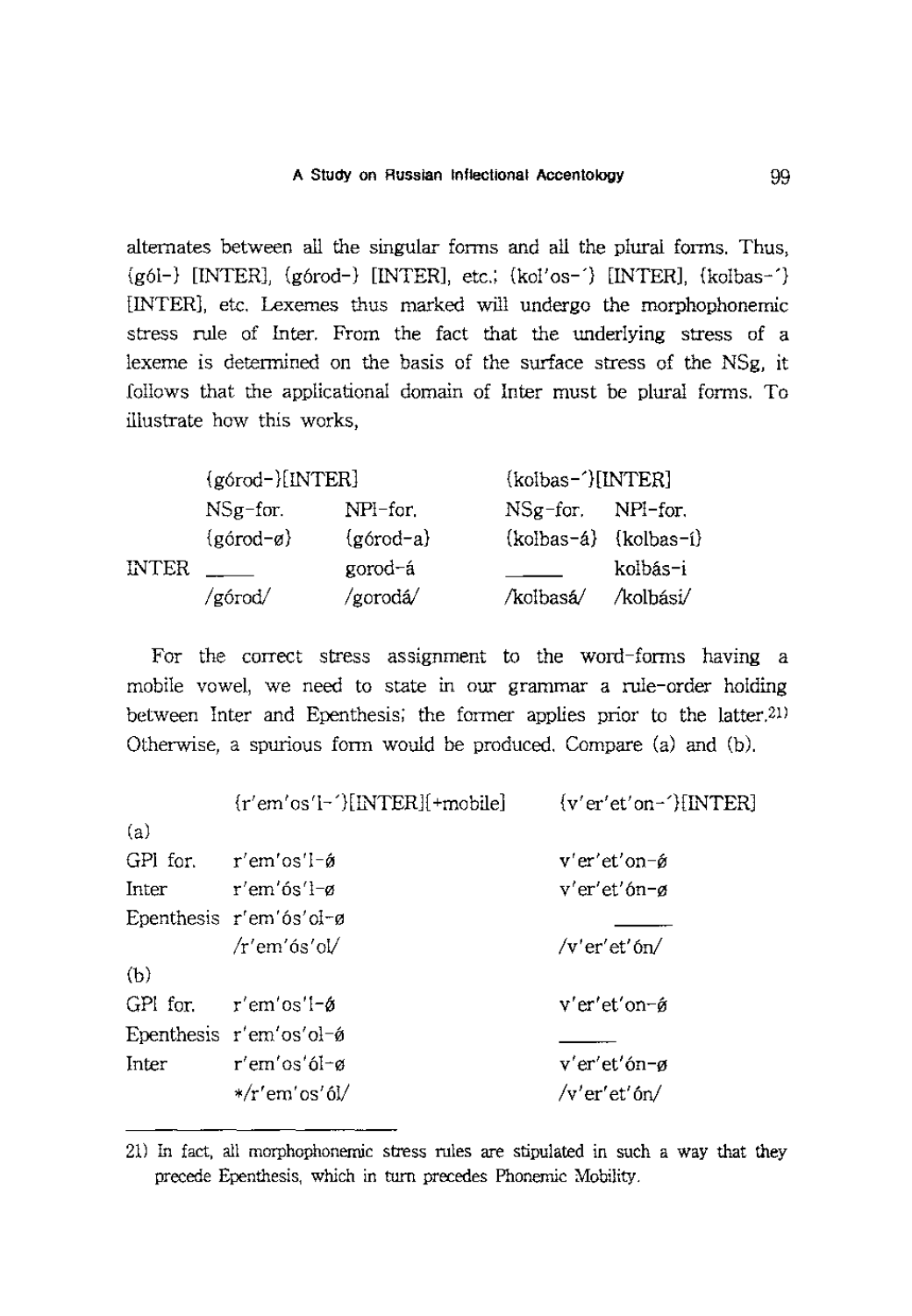alternates between all the singular fonns and all the plural fonns. Thus, {g61-} [INTER], {g6rod-} [INTER], etc.; {kol'os-'} [INTER], {kolbas-'} [INTER], etc. Lexemes thus marked will undergo the morphophonemic stress rule of Inter. From the fact that the underlying stress of a lexeme is determined on the basis of the surface stress of the NSg, it follows that the applicational domain of Inter must be plural fonns. To illustrate how this works,

|       | (górod-)[INTER]            |                       | (kolbas-')[INTER]         |           |  |
|-------|----------------------------|-----------------------|---------------------------|-----------|--|
|       | $NSg$ -for.                | NPI-for.              | $NSg$ -for. $NPf$ -for.   |           |  |
|       | $\{g\acute{q}rod-\alpha\}$ | $\{g\acute{a}rod-a\}$ | $(kolbas-4)$ $(kolbas-1)$ |           |  |
| INTER |                            | gorod-á               |                           | kolbás-i  |  |
|       | /górod/                    | /gorodá/              | /kolbasá/                 | /kolbási/ |  |

For the correct stress assignment to the word-forms having a mobile yowel, we need to state in our grammar a rule-order holding between Inter and Epenthesis; the former applies prior to the latter.<sup>21)</sup> Otherwise, a spurious fonn would be produced. Compare (a) and (b).

|       | $\{r'em'os'I-\}[INTER](+mobile]$ | ${v'$ er'et'on-'}[INTER] |
|-------|----------------------------------|--------------------------|
| (a)   |                                  |                          |
|       | GPI for, $r'$ em'os'l- $\phi$    | v'er'et'on−ǿ             |
| Inter | ⊤′em′ós′l−ø                      | v'er'et'ón-ø             |
|       | Epenthesis r'em'ós'ol-ø          |                          |
|       | $/r'$ em'ós'ol/                  | $/v'$ er'et'ón/          |
| (b)   |                                  |                          |
|       | GPI for. $r'$ em'os'i- $\phi$    | v'er'et'on-ø             |
|       | Epenthesis r'em'os'ol-ø          |                          |
| Inter | r'em'os'ól-ø                     | v'er'et'ón-ø             |
|       | $*/r'$ em'os'ól/                 | /v'er'et'ón/             |

<sup>21)</sup> In fact, all morphophonemic stress rules are stipulated in such a way that they precede Epenthesis, which in turn precedes Phonemic Mobility.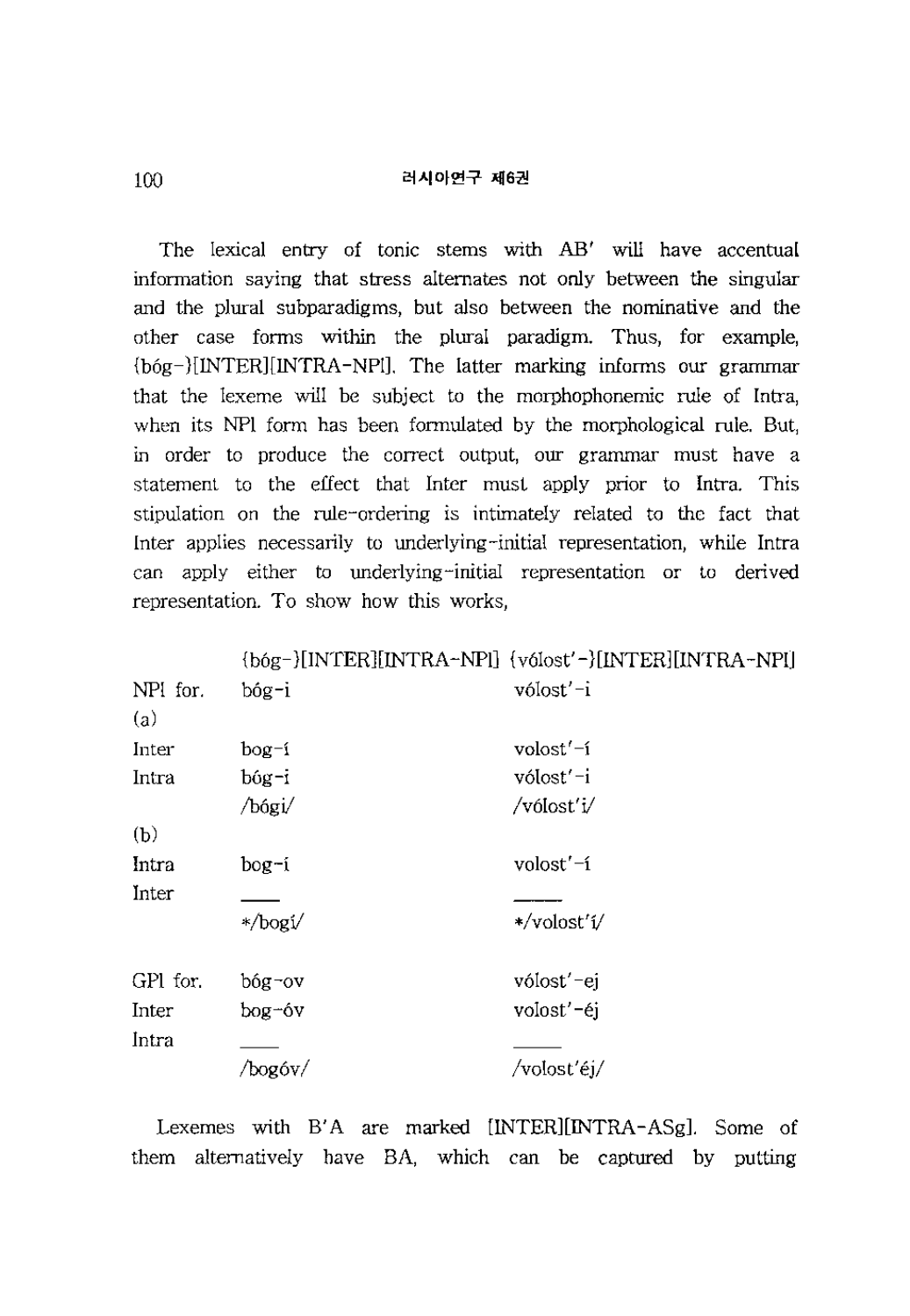The lexical entry of tonic stems with AB' will have accentual information saying that stress alternates not only between the singular and the plural subparadigms, but also between the nominative and the other case fonns within the plural paradigm. Thus, for example, {b6g-}[INTER] [INTRA-NP1). The latter marking infonns our grammar that the lexeme will be subject to the morphophonemic rule of Intra, when its NPI form has been formulated by the morphological rule. But, in order to produce the correct output, our grammar must have a statement to the effect that Inter must apply prior to Intra. This stipulation on the rule-ordering is intimately related to the fact that Inter applies necessarily to underlying-initial representation, while Intra can apply either to underlying-initial representation or to derived representation. To show how this works,

|                 |          | {bóg-}[INTER][INTRA-NPI] {vólost'-}[INTER][INTRA-NPI] |
|-----------------|----------|-------------------------------------------------------|
| NPI for.<br>(a) | bóg-i    | vólost'-i                                             |
|                 |          |                                                       |
| Inter           | $b$ og-í | volost'-í                                             |
| Intra           | bóg-i    | vólost'-i                                             |
|                 | /bógi/   | /vólost'i/                                            |
| (b)             |          |                                                       |
| Intra           | bog-í    | volost'-í                                             |
| Inter           |          |                                                       |
|                 | */bogi/  | */volost'í/                                           |
| GPI for.        | bóg-ov   | vólost'-ej                                            |
| Inter           | bog-óv   | volost'-éj                                            |
| Intra           |          |                                                       |
|                 | /bogóv/  | /volosťéj/                                            |

Lexemes with B'A are marked [INTER][INTRA-ASg]. Some of them alternatively have BA, which can be captured by putting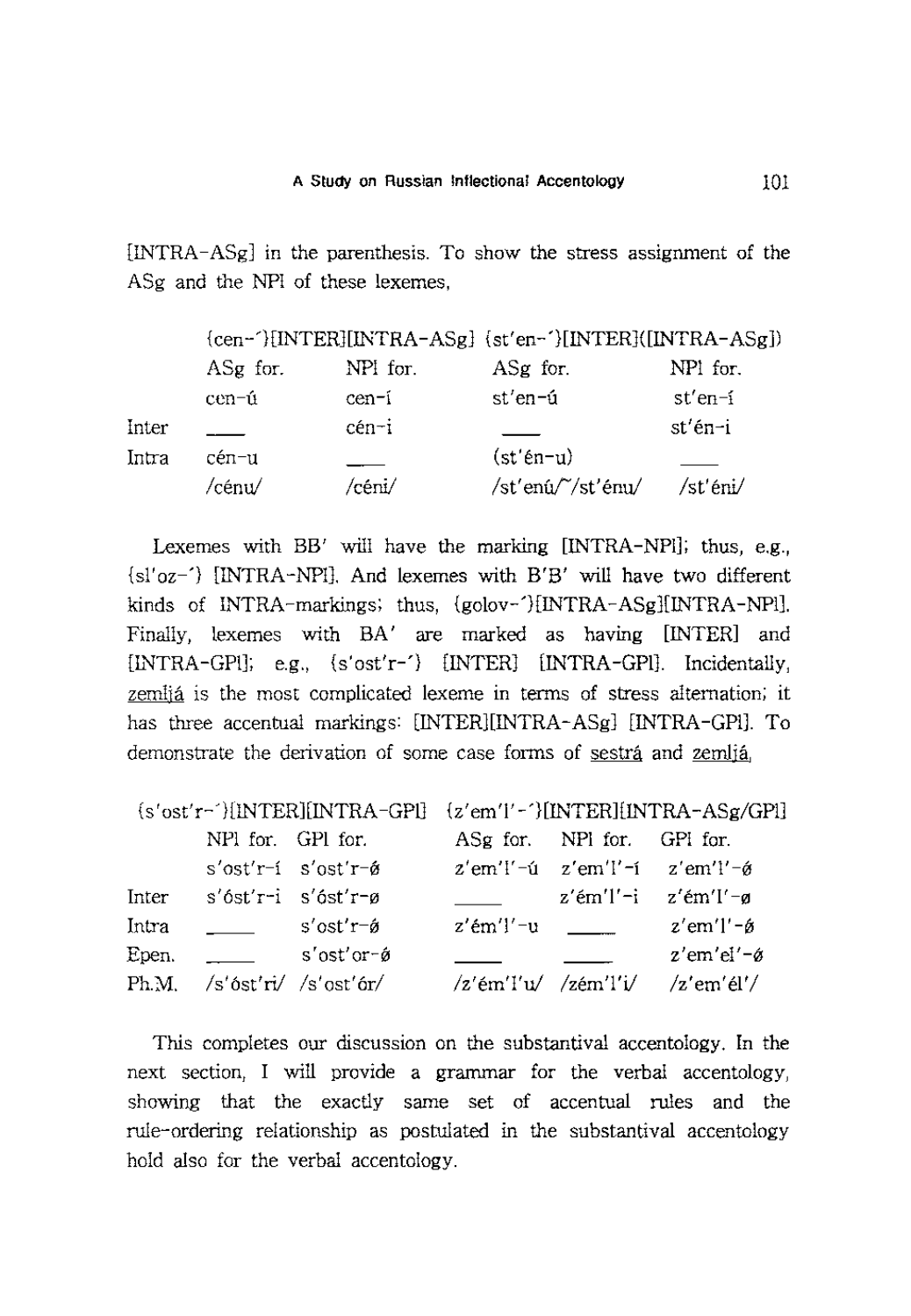[INTRA - ASg] in the parenthesis. To show the stress assignment of the ASg and the NPl of these lexemes,

|       |          |          | {cen-'}[INTER][INTRA-ASg] {st'en-'}[INTER]([INTRA-ASg]) |           |
|-------|----------|----------|---------------------------------------------------------|-----------|
|       | ASg for. | NPI for. | ASg for.                                                | NPI for.  |
|       | cen-ú    | cen-í    | st'en-ú                                                 | $st'en-1$ |
| Inter |          | cén-i    |                                                         | st'én-i   |
| Intra | cén-u    |          | $(st'en-u)$                                             |           |
|       | ∕cénu⁄   | /céni/   | /st'enú/~/st'énu/                                       | /st'éni/  |

Lexemes with BB' will have the marking [INTRA-NPI]; thus, e.g., {sl'oz-'} [INTRA-NP1]. And lexemes with B'B' will have two different kinds of INTRA-markings; thus, {golov-'}[INTRA-ASg][INTRA-NPl]. Finally, lexemes with BA' are marked as having [INTER] and [INTRA-GPl]; e.g., {s'ost'r-'} [INTER] [INTRA-GP1]. Incidentally, zemlja is the most complicated lexeme in terms of stress alternation; it has three accentual markings: [INTER][INTRA-ASg] [INTRA-GPI]. To demonstrate the derivation of some case forms of sestra and zemlja,

|       |                     |                               | $s'ost'r$ <sup>-</sup> $[IMTER][INTRA-GPI]$ $(z'em'I'$ -' $)[INTER][INTRA-ASg/GPI]$ |  |                                                                      |  |
|-------|---------------------|-------------------------------|-------------------------------------------------------------------------------------|--|----------------------------------------------------------------------|--|
|       | NPI for. GPI for.   |                               | ASg for. NPI for. GPI for.                                                          |  |                                                                      |  |
|       |                     | s'ost'r-i s'ost'r-é           |                                                                                     |  | $z'$ em'!'-ú $z'$ em'!'-í $z'$ em'!'- $\acute{\theta}$               |  |
| Inter | s'óst'r-i s'óst'r-ø |                               |                                                                                     |  | $z'$ ém'l'-i $z'$ ém'l'-ø                                            |  |
| Intra |                     | $s'$ ost' $r$ - $\hat{g}$     | $z'$ ém' $]$ ' $-u$                                                                 |  | $z'$ em'l'- $\phi$                                                   |  |
| Epen. |                     | $s'$ ost'or- $\acute{\sigma}$ |                                                                                     |  | $z'$ em'el'-ø                                                        |  |
|       |                     | $Ph.M.$ /s'óst'ri/ /s'ost'ór/ |                                                                                     |  | $\frac{1}{2}$ 'ém'l'u/ $\frac{1}{2}$ 'ém'l'i/ $\frac{1}{2}$ 'em'él'/ |  |

This completes our discussion on the substantival accentology. In the next section, I will provide a grammar for the verbal accentology, showing that the exactly same set of accentual rules and the rule-ordering relationship as postulated in the substantival accentology hold also for the verbal accentology.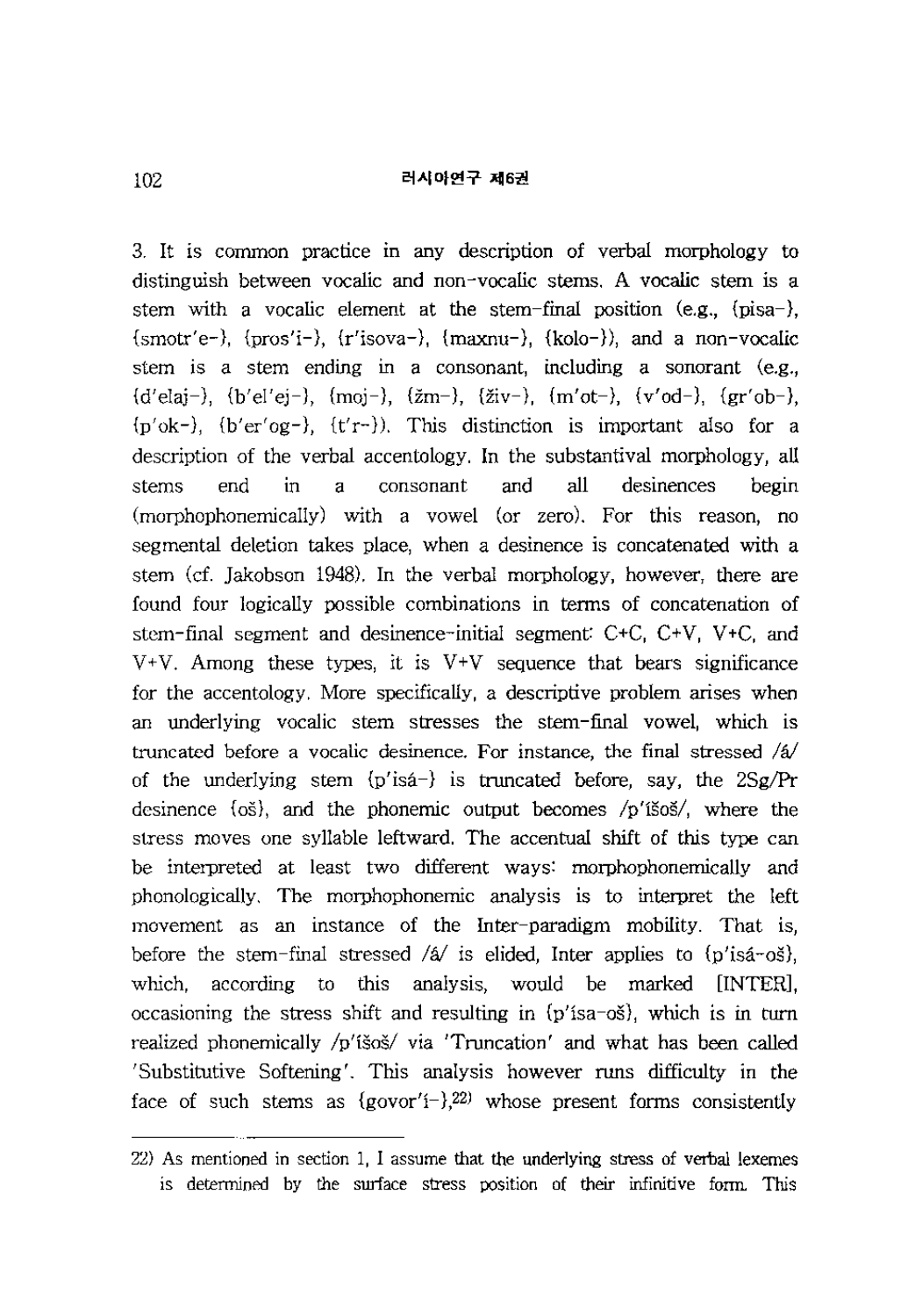3. It is common practice in any description of verbal morphology to distinguish between vocalic and non-vocalic stems. A vocalic stem is a stem with a vocalic element at the stem-final position (e.g.,  $\{\text{pisa}-\}$ ),  ${smmtr'e-}$ ,  ${prosi' i-}$ ,  ${r'isova-}$ ,  ${maxnu-}$ ,  ${kolo-}$ , and a non-vocalic stem is a stem ending in a consonant, including a sonorant (e.g.,  ${d'$  elai-),  ${b' e l' e i -}$ ,  ${m o i -}$ ,  ${z m -}$ ,  ${z i v -}$ ,  ${m' o t -}$ ,  ${v' o d -}$ ,  ${gr' o b -}$ ,  ${p'ok}$ -),  ${b'er'og}$ -),  ${t'r}$ -). This distinction is important also for a description of the verbal accentology. In the substantival morphology, all stems end in a consonant and all desinences begin (morphophonemically) with a vowel (or zero). For this reason, no segmental deletion takes place, when a desinence is concatenated with a stem (cf. Jakobson 1948). In the verbal morphology, however, there are found four logically possible combinations in terms of concatenation of stem-final segment and desinence-initial segment:  $C+C$ ,  $C+V$ ,  $V+C$ , and  $V+V$ . Among these types, it is  $V+V$  sequence that bears significance for the accentology. More specifically, a descriptive problem arises when an underlying vocalic stem stresses the stem-final vowel, which is truncated before a vocalic desinence. For instance, the final stressed */a!*  of the underlying stem {p'isa-} is truncated before, say, the 2Sg/Pr desinence {os}, and the phonemic output becomes /p'iSos/, where the stress moves one syllable leftward. The accentual shift of this type can be interpreted at least two different ways: morphophonemic ally and phonologically. The morphophonemic analysis is to interpret the left movement as an instance of the Inter-paradigm mobility. That is, before the stem-final stressed */a!* is elided, Inter applies to {p'isa-os}, which, according to this analysis, would be marked [INTER], occasioning the stress shift and resulting in {p'isa-os}, which is in turn realized phonemically /p'iSos/ via 'Truncation' and what has been called 'Substitutive Softening'. This analysis however runs difficulty in the face of such stems as  ${g_{\text{ovor}}'}(-)$ ,  $22$  whose present forms consistently

<sup>22)</sup> As mentioned in section 1, I assume that the underlying stress of verbal lexemes is determined by the surface stress position of their infinitive form. This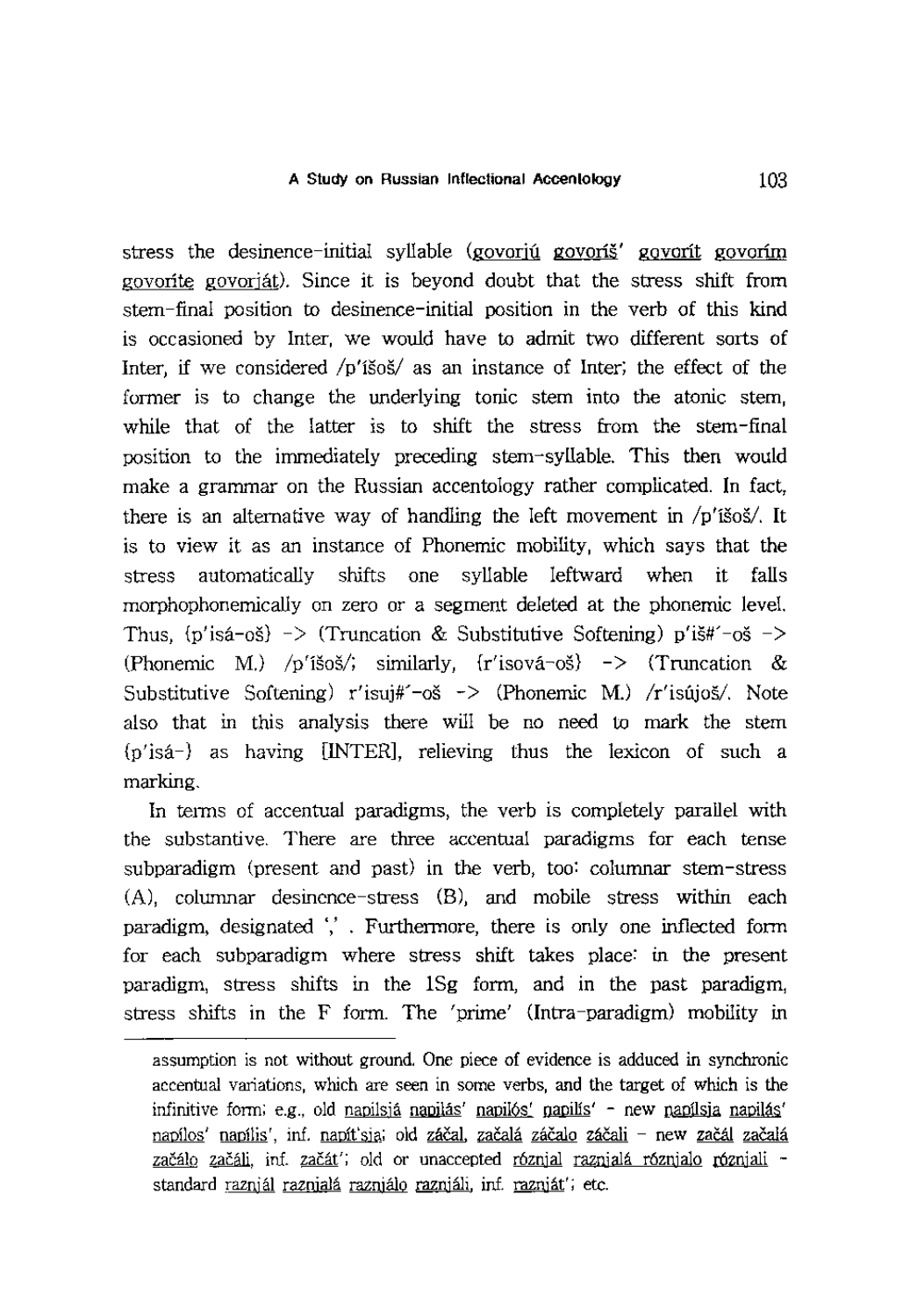stress the desinence-initial syllable (govoriu govoriš' govorit govorim govorite govorjat). Since it is beyond doubt that the stress shift from stem-final position to desinence-initial position in the verb of this kind is occasioned by Inter, we would have to admit two different sorts of Inter, if we considered  $/p'$ isos an instance of Inter; the effect of the former is to change the underlying tonic stem into the atonic stem, while that of the latter is to shift the stress from the stem-final position to the immediately preceding stem-syllable. This then would make a grammar on the Russian accentology rather complicated. In fact, there is an alternative way of handling the left movement in  $/p'$ išoš/. It is to view it as an instance of Phonemic mobility, which says that the stress automatically shifts one syllable leftward when it falls morphophonemic ally on zero or a segment deleted at the phonemic level. Thus,  $\{p' \in \{p'\} \Rightarrow \text{Truncation} \& \text{Substitutive Softening} \} p' \in \mathcal{F}^{-1}$ (Phonemic M.) /p'išoš/; similarly, {r'isová-oš} -> (Truncation & Substitutive Softening)  $r'$ isuj#'-oš -> (Phonemic M.) / $r'$ isújoš/. Note also that in this analysis there will be no need to mark the stem {p'isa-} as having [INTER], relieving thus the lexicon of such a marking.

In terms of accentual paradigms, the verb is completely parallel with the substantive. There are three accentual paradigms for each tense subparadigm (present and past) in the verb, too: columnar stem-stress (A), columnar desinence-stress (B), and mobile stress within each paradigm, designated ',' . Furthermore, there is only one inflected form for each subparadigm where stress shift takes place: in the present paradigm, stress shifts in the ISg form, and in the past paradigm, stress shifts in the F form. The 'prime' (Intra-paradigm) mobility in

assumption is not without ground. One piece of evidence is adduced in synchronic accentual variations, which are seen in some verbs, and the target of which is the infinitive form; e.g., old napilsia napilas' napilos' napilsis' - new napilsia napilas' napílos' napílis', inf. napít'sja; old záčal, začalá záčalo záčali - new začál začalá začál<u>o začáli,</u> inf. <u>začát'; old or unaccepted róznial raznialá róznialo rózniali -</u> standard <u>raznjál raznialá razniálo razniáli</u>, inf. razniát'; etc.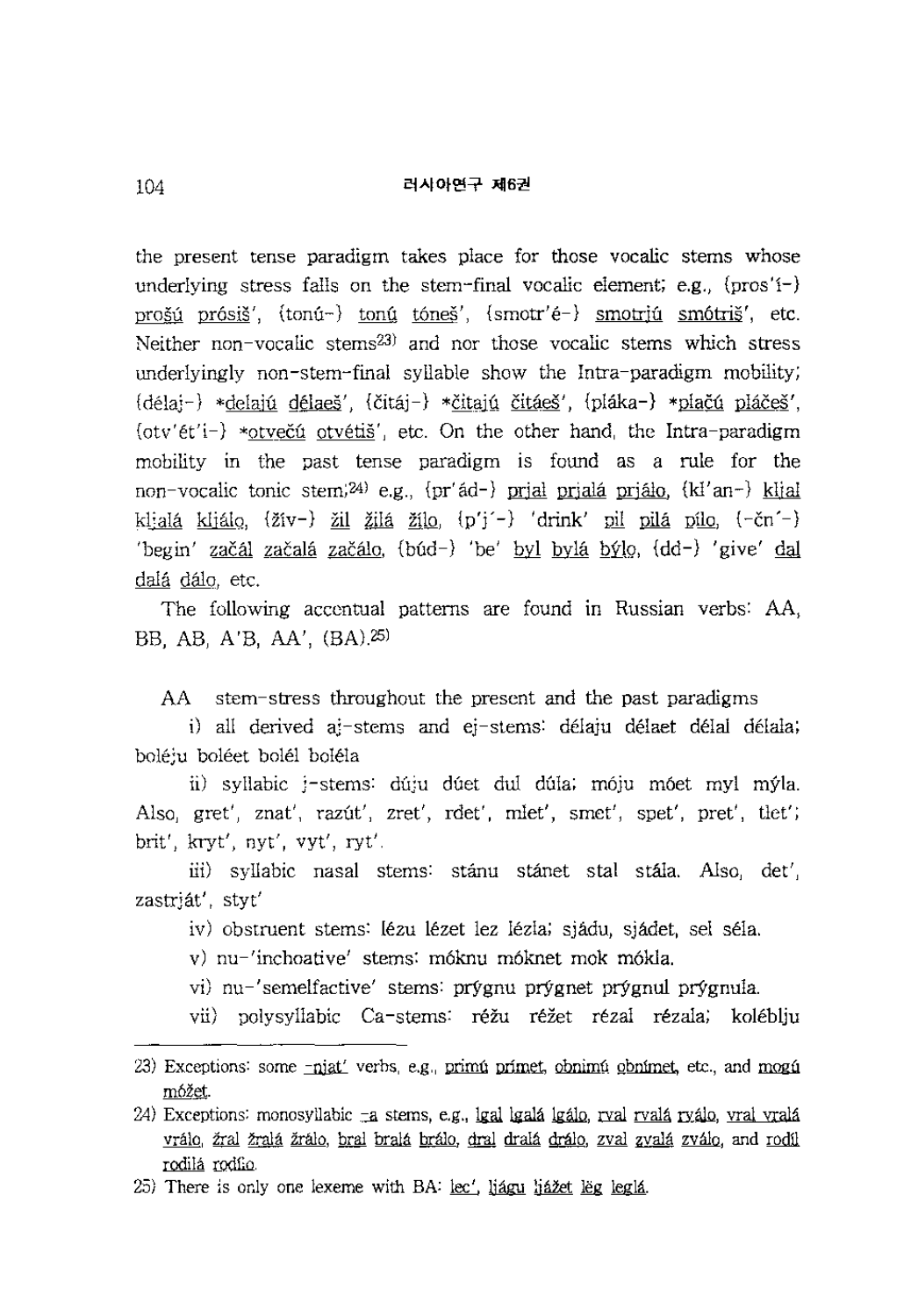## 러사아연구 제6권

the present tense paradigm takes place for those vocalic stems whose underlying stress falls on the stem-final vocalic element; e.g.,  ${\rm (pros'1-)}$ prošú prósiš',  $\{\text{tonú-}\}$  tonú tóneš',  $\{\text{smotr'é-}\}$  smotriú smótriš', etc. Neither non-vocalic stems23) and nor those vocalic stems which stress underlyingly non-stern-final syllable show the Intra-paradigm mobility;  ${delta}$  \*delajú délaeš',  ${čitaj}$ –) \*čitajú čitáeš',  ${pliaka}$ –) \* ${pliac\acute{o}si}$ ',  $\{\text{ot}(v')\in\mathcal{V}\}$  \*otvečú otvétiš', etc. On the other hand, the Intra-paradigm mobility in the past tense paradigm is found as a rule for the non-vocalic tonic stem;<sup>24)</sup> e.g., {pr' ad-} prial priala prialo, {ki' an-} kli al kljalá kljálo,  $\{\check{z}iv-\}$  žil <u>žilá</u> žilo,  $\{p'j' -\}$  'drink' pil pilá pílo,  $\{-\check{c}n' -\}$ 'begin' začál začalá začálo, (búd-) 'be' byl bylá býlo, {dd-) 'give' dal dalá dálo, etc.

The following accentual patterns are found in Russian verbs: AA, BB, AB, A'B, AA', (BA).25)

AA stem-stress throughout the present and the past paradigms

i) all derived aj-stems and ej-stems: delaju delaet delal delala; boleju boleet bolel bolela

ii) syllabic j-stems: duju dúet dul dúla; móju móet myl mýla. Also, gret', znat', razut', zret', rdet', mlet', smet', spet', pret', tlet'; brit', kryt', nyt', vyt', rYt'.

iii) syllabic nasal stems: stánu stánet stal stála. Also, det', zastrjat', styt'

iv) obstruent stems: lezu lezet lez lezla; sjadu, sjadet, sel sela.

v) nu-'inchoative' stems: m6knu m6knet mok m6kla.

vi) nu-'semelfactive' stems: prygnu prygnet prygnul prygnula.

vii) polysyllabic Ca-stems: réžu réžet rézal rézala; koléblju

<sup>23)</sup> Exceptions: some  $-pi$  at verbs, e.g., primit primet, obnimit obnimet, etc., and mogu móžet.

 $24$ ) Exceptions: monosyllabic  $-a$  stems, e.g., lgal lgalá lgálo, rval rvalá ryálo, vral vralá vrálo, žral žralá žrálo, bral bralá brálo, dral dralá drálo, zval zvalá zválo, and rodíl rodilá rodfio.

<sup>25)</sup> There is only one lexeme with BA: lec', liagu liazet leg legla.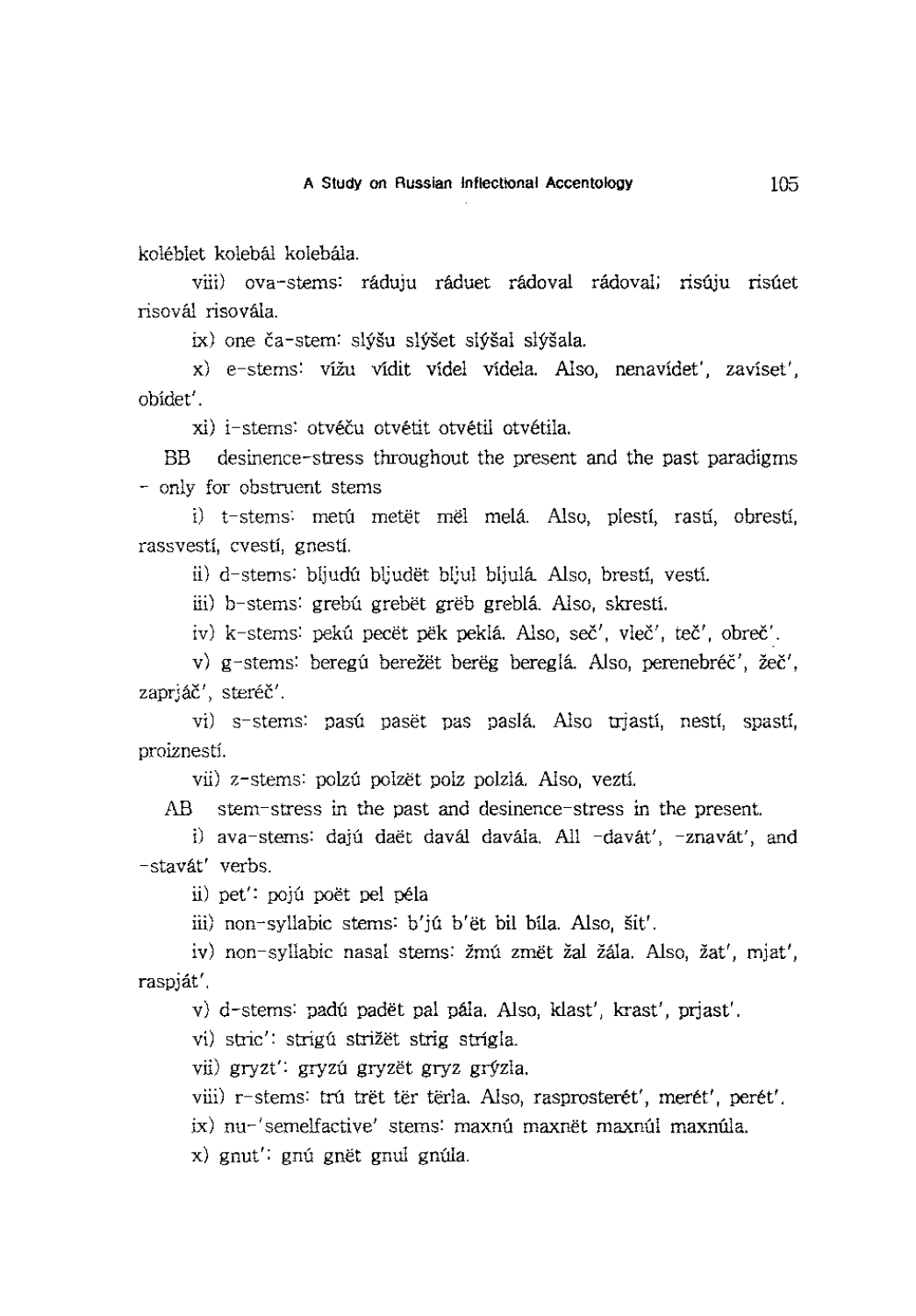koleblet kolebal kolebala.

viii) ova-stems: ráduju ráduet rádoval rádoval; risúju risúet risoval risovala.

ix) one ča-stem: slýšu slýšet slýšal slýšala.

x) e-stems: vížu vídit vídel vídela. Also, nenavídet', zavíset', obidet'.

xi) i-stems: otvéču otvétit otvétil otvétila.

BB desinence-stress throughout the present and the past paradigms - only for obstruent stems

i) t-stems: metú metët mël melá. Also, plestí, rastí, obrestí, rassvesti, cvesti, gnesti.

ii) d-stems: bljudú bljudët bljul bljulá. Also, brestí, vestí.

iii) b-stems: grebú grebët grëb greblá. Also, skrestí.

iv) k-stems: pekú pecët pëk peklá. Also, seč', vleč', teč', obreč'.

v) g-stems: beregú berežët berëg bereglá. Also, perenebréč', žeč', zapriáč', steréč'.

vi) s-stems: pasú pasët pas paslá. Also trjastí, nestí, spastí, proiznesti.

vii) z-stems: polzú polzet polz polzlá. Also, veztí.

AB stem-stress in the past and desinence-stress in the present.

i) ava-stems: dajú daët davál davála. All -davát', -znavát', and -stavat' verbs.

ii) pet': poju poet pel pela

iii) non-syllabic stems: b'ju b'et bil bila. Also, sit'.

iv) non-syllabic nasal stems: žmú změt žal žála. Also, žat', mjat', raspjat'.

v) d-stems: padú padět pal pála. Also, klast', krast', prjast'.

vi) stric': strigu strižët strig strigla.

vii) gryzt': gryzú gryzët gryz grýzla.

viii) r-stems: trú trët tër tërla. Also, rasprosterét', merét', perét'.

ix) nu-'semelfactive' stems: maxnú maxnët maxnúl maxnúla.

x) gnut': gnú gnět gnul gnúla.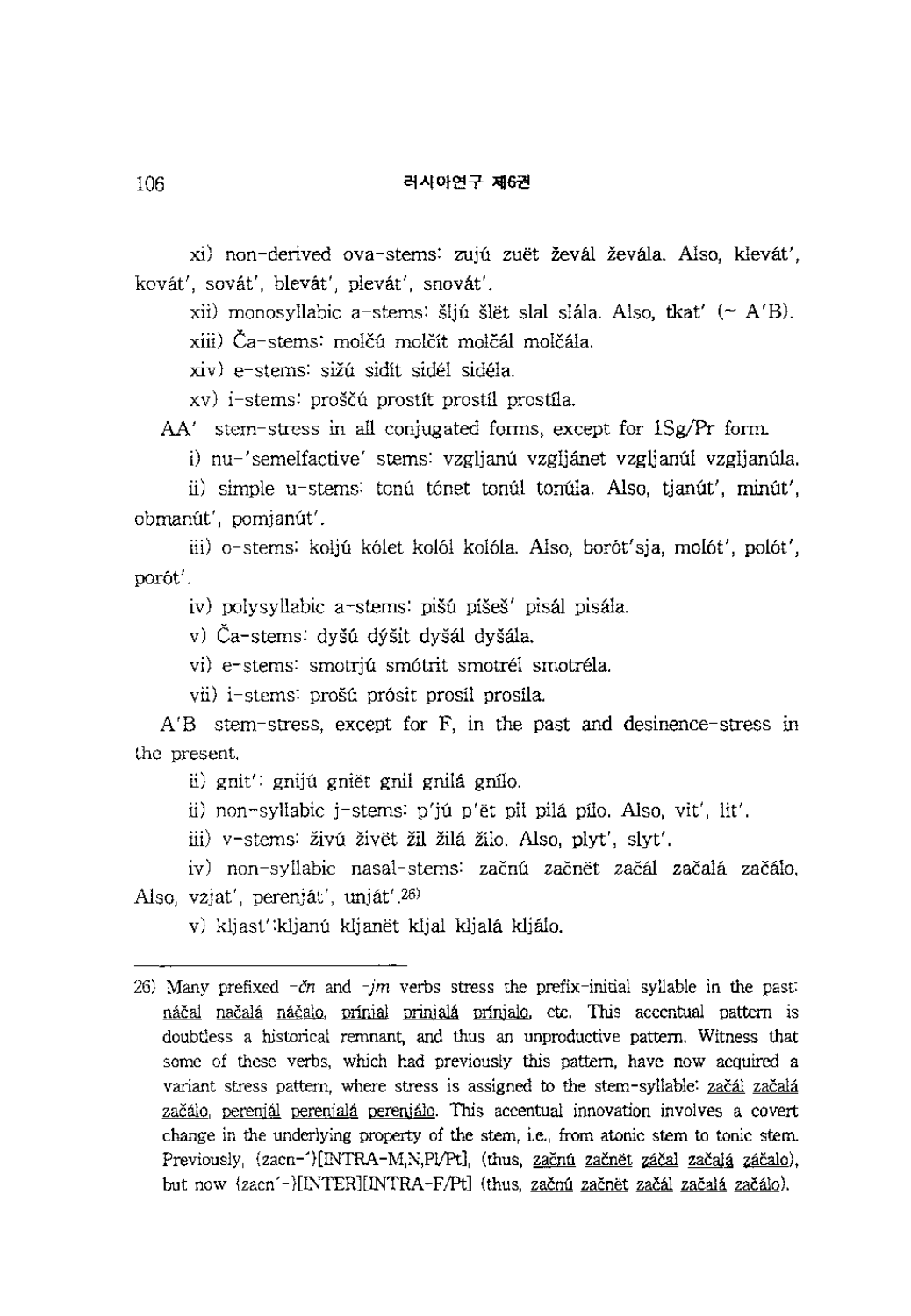xi) non-derived ova-stems: zujú zuët ževál ževála. Also, klevát', kovat', sovat', blevat', plevat', snovat'.

xii) monosyllabic a-stems: šijú šlet slal slála. Also, tkat'  $( \sim A'B )$ .

xiii) Ča-stems: molčú molčít molčál molčála.

xiv) e-stems: siZU sidit sidel sidela.

xv) i-stems: proščú prostít prostíl prostíla.

AA' stem-stress in all conjugated forms, except for lSg/Pr form.

i) nu-'semelfactive' stems: vzglianú vzgliánet vzglianúl vzglianúla.

ii) simple u-stems: tonú tónet tonúl tonúla. Also, tjanút', minút', obmanút', pomjanút'.

iii) o-stems: kolju k6let ko16l ko16la. Also, bor6t'sja, mo16t', po16t', por6t'.

iv) polysyllabic a-stems: pišú píšeš' pisál pisála.

v) Ča-stems: dyšú dýšit dyšál dyšála.

vi) e-stems: smotriu smótrit smotrél smotréla.

vii) i-stems: prošú prósit prosíl prosíla.

 $A'B$  stem-stress, except for F, in the past and desinence-stress in the present.

ii) gnit': gnijú gniët gnil gnilá gnilo.

ii) non-syllabic j-stems: p'jú p'ët pil pilá pílo. Also, vit', lit'.

iii) v-stems: živú živët žil žilá žilo. Also, plyt', slyt'.

iv) non-syllabic nasal-stems: začnú začnět začál začalá začálo. Also, vzjat', perenjat', unjat'.26)

v) kljast' kljanú kljanët kljal kljalá kljálo.

<sup>26)</sup> Many prefixed  $-\tilde{c}n$  and  $-m$  verbs stress the prefix-initial syllable in the past: náčal načalá ná<u>čalo</u>, prínial prinjalá prínjalo, etc. This accentual pattern is doubtless a historical remnant, and thus an unproductive pattern. Witness that some of these verbs, which had previously this pattern, have now acquired a variant stress pattern, where stress is assigned to the stem-syllable: začál začalá zacaIo, pereniaI oereniala pereniaIo. This accentual innovation involves a covert change in the underlying property of the stem, i.e., from atonic stem to tonic stem Previously, (zacn-')[INTRA-M,N,Pl/Pt], (thus, začnú začnět záčal začalá záčalo), but now {zacn'-}[INTER][INTRA-F/Pt] (thus, začnú začnet začál začalá začálo).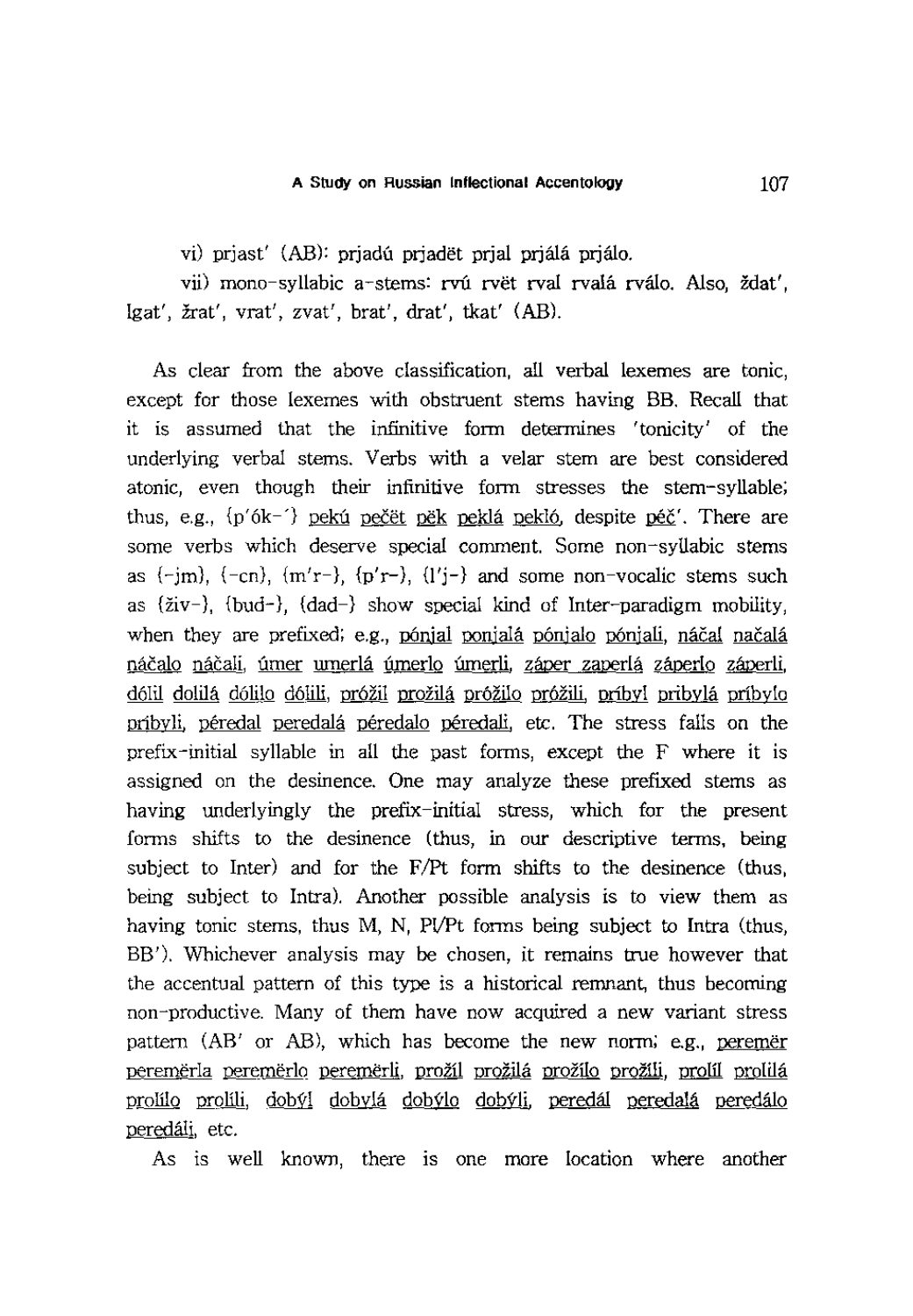vi) prjast' (AB): prjadú prjadët prjal prjálá prjálo.

vii) mono-syllabic a-stems: rvú rvět rval rvalá rválo. Also, ždat', 19at', Zrat', vrat', zvat', brat', drat', tkat' (AB).

As clear from the above classification, all verbal lexemes are tonic, except for those lexemes with obstruent stems having BB. Recall that it is assumed that the infinitive form determines 'tonicity' of the underlying verbal stems. Verbs with a velar stem are best considered atonic, even though their infinitive form stresses the stem-syllable; thus, e.g.,  $\{p'6k^{-}\}\right)$  pekú pečët pëk peklá pekló, despite péč'. There are some verbs which deserve special comment. Some non-syllabic stems as  $(-jm)$ ,  $(-cn)$ ,  $(m'r-)$ ,  $(p'r-)$ ,  $(l'j-)$  and some non-vocalic stems such as  $\{\text{ziv-}\}, \{\text{bud-}\}, \{\text{dad-}\}\$  show special kind of Inter-paradigm mobility, when they are prefixed; e.g., pónjal ponjalá pónjalo pónjali, náčal načalá náčalo náčali, úmer umerlá úmerlo úmerli, záper zaperlá záperlo záperli, dólil dolilá dólilo dólili, próžil prožilá próžilo próžili, príbyl pribylá príbylo pribyli, péredal peredalá péredalo péredali, etc. The stress falls on the prefix-initial syllable in all the past forms, except the F where it is assigned on the desinence. One may analyze these prefixed stems as having underlyingly the prefix-initial stress, which for the present forms shifts to the desinence (thus, in our descriptive terms, being subject to Inter) and for the F/Pt form shifts to the desinence (thus, being subject to Intra). Another possible analysis is to view them as having tonic stems, thus M, N, Pl/Pt forms being subject to Intra (thus, BB'). Whichever analysis may be chosen, it remains true however that the accentual pattern of this type is a historical remnant, thus becoming non-productive. Many of them have now acquired a new variant stress pattern (AB' or AB), which has become the new norm; e.g., peremer peremerla peremerlo peremerli, prozil prozila prozilo prozili, prolil prolila prolilo prolili, dobýl dobylá dobýlo dobýli, peredál peredalá peredálo peredaIi, etc.

As is well known, there is one more location where another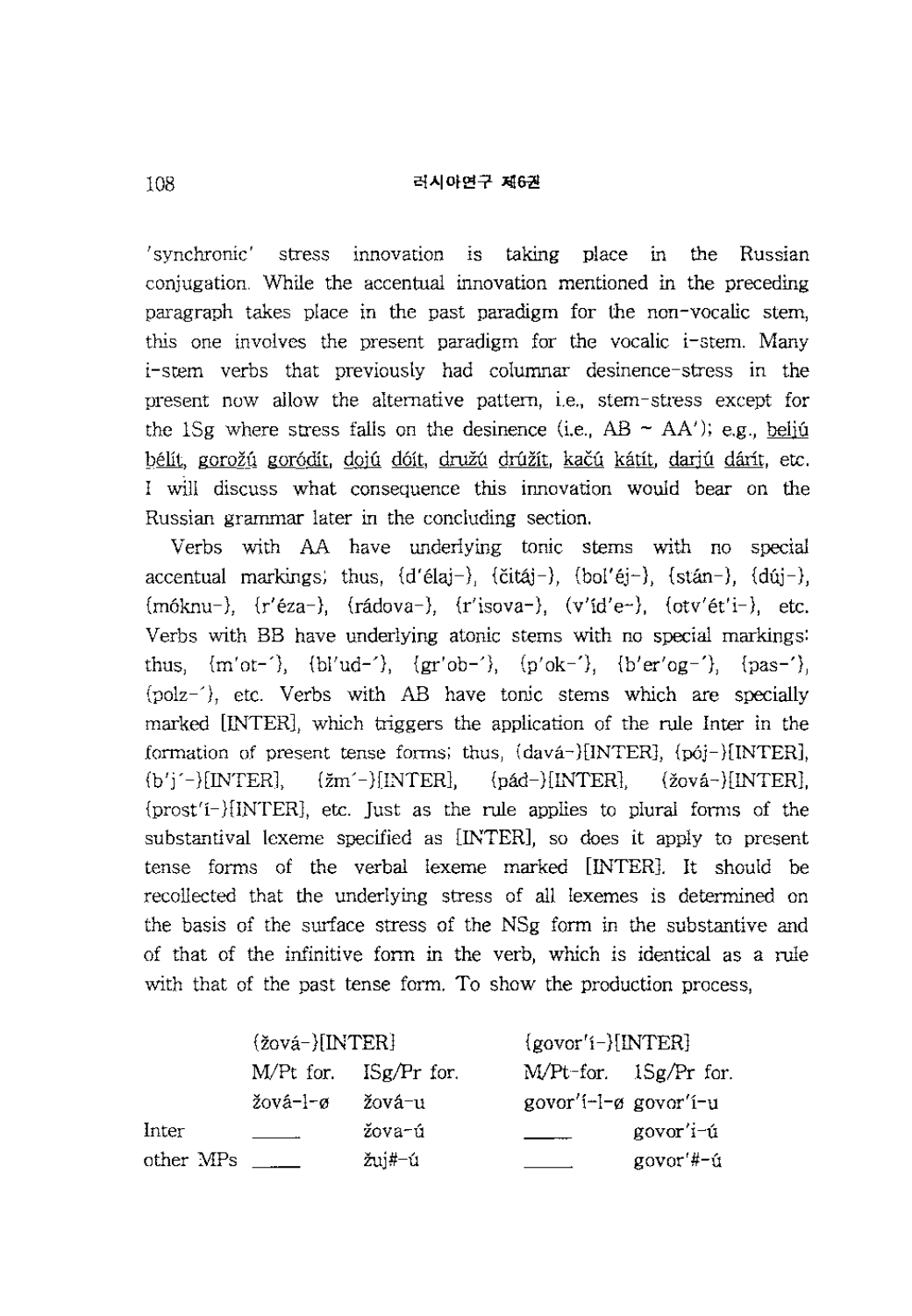'synchronic' stress innovation is taking place in the Russian conjugation. While the accentual innovation mentioned in the preceding paragraph takes place in the past paradigm for the non-vocalic stem, this one involves the present paradigm for the vocalic i-stem. Many i-stem verbs that previously had columnar desinence-stress in the present now allow the alternative pattern, i.e., stem-stress except for the 1Sg where stress falls on the desinence (i.e.,  $AB \sim AA'$ ); e.g., belig bélít, gorožú goródít, dojú dóít, družú drúžít, kačú kátít, dariú dárít, etc. I wlll discuss what consequence this innovation would bear on the Russian grammar later in the concluding section.

Verbs with AA have underlying tonic stems with no special accentual markings; thus,  $\{d' \in \{d\} -\}$ ,  $\{\text{c} \in \{d\} -\}$ ,  $\{d\text{c} \in \{d\} -\}$ ,  $\{d\text{c} \in \{d\} -\}$ ,  $\{d\text{c} \in \{d\} -\}$ ,  $\{d\text{c} \in \{d\} -\}$ ,  $\{d\text{c} \in \{d\} -\}$ ,  $\{d\text{c} \in \{d\} -\}$ ,  $\{d\text{c} \in \{d\} -\}$ ,  $\{$  ${m6knu}$ ,  ${r'éza}$ ,  ${rádova}$ ,  ${r'isova}$ ,  ${v'd'e}$ ,  ${otv'et'i}$ , etc. Verbs with BB have underlying atonic stems with no special markings: thus,  ${m'ot-'}$ ,  ${b'ud-'}$ ,  ${gr'ob-'}$ ,  ${p'ok-'}$ ,  ${b'er'og-'}$ ,  ${pas-'}$ {polz-'}, etc. Verbs with AB have tonic stems which are specially marked [INTER], which triggers the application of the rule Inter in the formation of present tense forms; thus, {dava-}[INTER], {p6j-}[INTER],  ${b'j' - }\text{[INTER]},$   ${zm' - }\text{[INTER]},$   ${pad-}\text{[INTER]},$   ${zov4-}\text{[INTER]},$ {prost'i-HINTER], etc. Just as the rule applies to plural forms of the substantival lexeme specified as [INTER], so does it apply to present tense forms of the verbal lexeme marked [INTER]. It should be recollected that the underlying stress of all lexemes is determined on the basis of the surface stress of the NSg form in the substantive and of that of the infinitive form in the verb, which is identical as a rule with that of the past tense form. To show the production process,

|           | ${2ov4}$ [INTER] |                           | $\{govor'i-\}[INTER]\}$ |                            |  |
|-----------|------------------|---------------------------|-------------------------|----------------------------|--|
|           |                  | $M/Pt$ for. $ISg/Pr$ for. |                         | $M/Pt$ -for. $1Sg/Pr$ for. |  |
|           | žová-l-ø         | žová-u                    | govor'i-l-ø govor'i-u   |                            |  |
| Inter     |                  | žova-ú                    |                         | govor'i-ú                  |  |
| other MPs |                  | žuj#–ú                    |                         | govor'#-ú                  |  |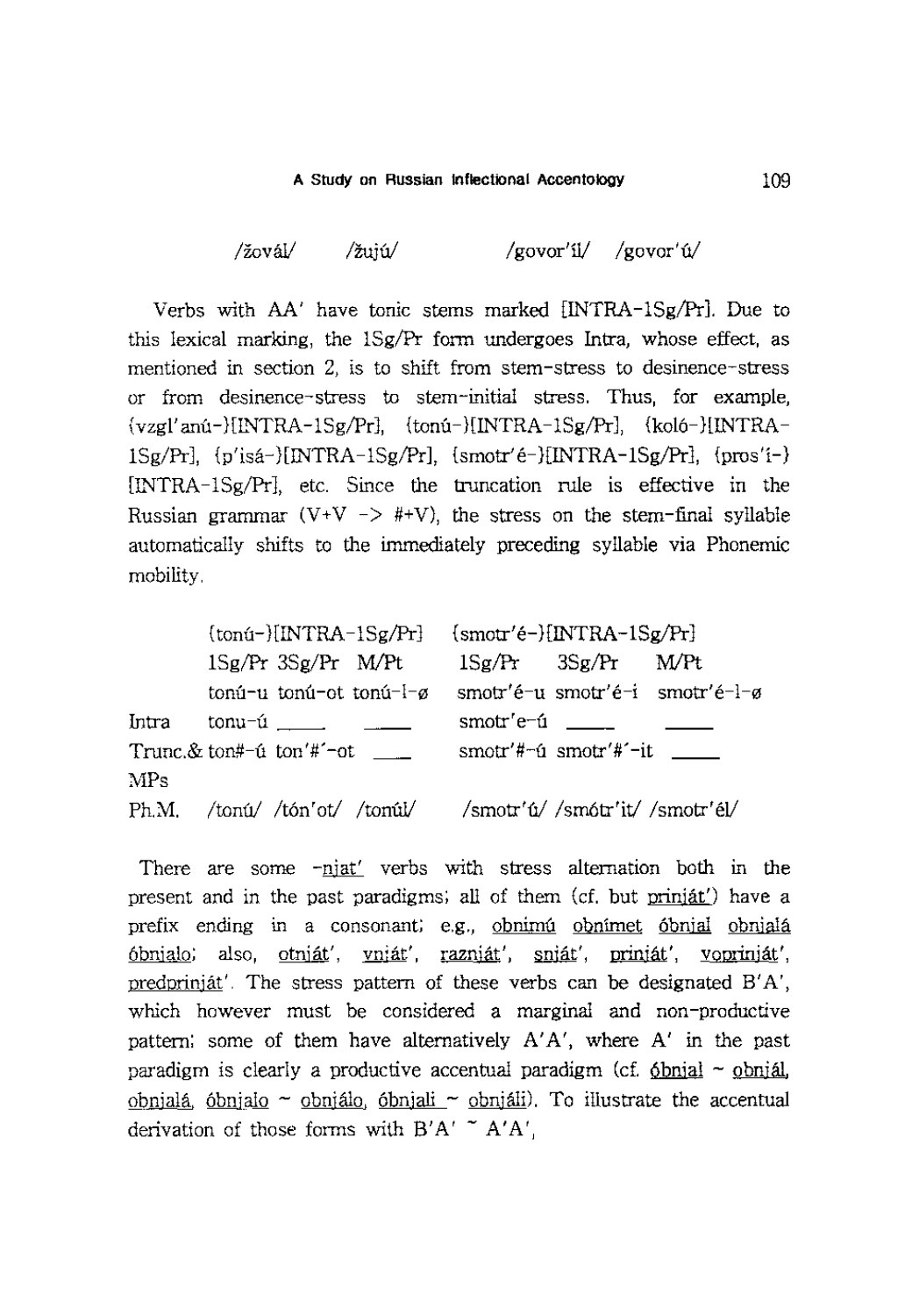$\langle \text{zov} \hat{\mathbf{a}} \rangle$  /zuiú/ /govor'íl/ /govor'ú/

Verbs with AA' have tonic stems marked [INTRA-lSg/Pr). Due to this lexical marking, the lSg/Pr form undergoes Intra, whose effect, as mentioned in section 2, is to shift from stem-stress to desinence-stress or from desinence-stress to stem-initial stress. Thus, for example,  $\{vzgl'ani-\}[INTRA-1Sg/Pr\}, \quad \{tonu-\}[INTRA-1Sg/Pr\}, \quad \{kolo-\}[INTRA-1Sg/Pr\}].$  $lSg/Pr$ ],  ${p'isa-}\lceil NTRA-1Sg/Pr\rceil$ ,  ${smotr'é-}\lceil NTRA-1Sg/Pr\rceil$ ,  ${pros'i-}$ [INTRA-lSg/Pr], etc. Since the truncation rule is effective in the Russian grammar (V + V - >  $#$  + V), the stress on the stem-final syllable automatically shifts to the immediately preceding syllable via Phonemic mobility.

|       |  |                                            | $\{tonú-\}[INTRA-1Sg/Pr\}$ $\{smot'e-\}[INTRA-1Sg/Pr\}$ |                                                                 |                                             |                                 |
|-------|--|--------------------------------------------|---------------------------------------------------------|-----------------------------------------------------------------|---------------------------------------------|---------------------------------|
|       |  | 1Sg/Pr 3Sg/Pr M/Pt                         |                                                         |                                                                 | $1Sg/Pr$ $3Sg/Pr$ $M/Pt$                    |                                 |
|       |  |                                            | tonú-u tonú-ot tonú-l-ø                                 |                                                                 |                                             | smotr'é-u smotr'é-i smotr'é-l-ø |
| Intra |  |                                            |                                                         | smotr'e- $\mathbf{u}$ ____                                      |                                             |                                 |
|       |  | Trunc. $&$ ton#- $\acute{u}$ ton'#'-ot ___ |                                                         |                                                                 | $smotr'#~f$ smotr'#' $-$ it $\qquad \qquad$ |                                 |
| MPs   |  |                                            |                                                         |                                                                 |                                             |                                 |
|       |  |                                            |                                                         | $Ph.M.$ /tonú/ /tón'ot/ /tonúl/ /smotr'ú/ /smótr'it/ /smotr'él/ |                                             |                                 |

There are some -njat' verbs with stress alternation both in the present and in the past paradigms; all of them (cf. but prinjat') have a prefix ending in a consonant; e.g., obnimu obnimet óbnjal obnjala 6bnjalo; also, otnjat', vnjat', raznjat', snjat', prinjat', voprinjat', predprinjat'. The stress pattern of these verbs can be designated B'A', which however must be considered a marginal and non-productive pattern; some of them have alternatively  $A'A'$ , where  $A'$  in the past paradigm is clearly a productive accentual paradigm (cf.  $6$ bnial  $\sim$  obnial, obnjalá, óbnjalo ~ obnjálo, óbnjali ~ obnjáli). To illustrate the accentual derivation of those forms with  $B'A' \uparrow A'A'$ ,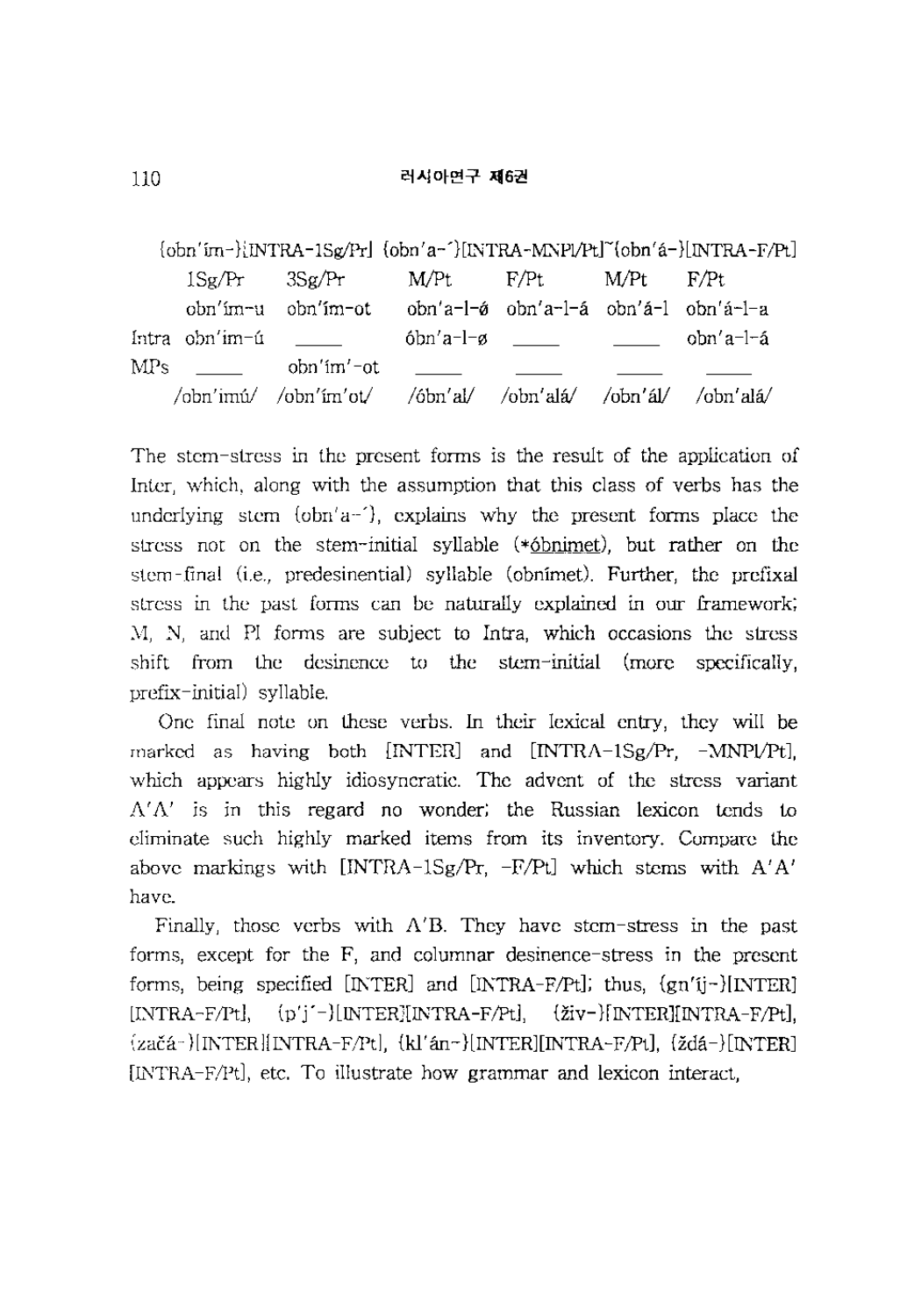${\rm [obn'im-}\iint RA-1Sg/Pr]$   ${\rm (obn'a-}\iint RA-MNPl/PL[^{\circ}obn'a-}\iint RA-F/PL]$ lSg/Pr 3Sg/Pr MlPt F/Pt MlPt F/Pt obn'im-u obn'im-ot obn'a-l- $\acute{\sigma}$  obn'a-l-a obn'a-l obn'a-l-a Intra obn'im-u 6bn'a-h:l obn'a-I-a MPs obn'im'-ot /obn'imú/ /obn'ím'ot/ /óbn'al/ /obn'alá/ /obn'ál/ /obn'alá/

The stem-stress in the present forms is the result of the application of Inter, which, along with the assumption that this class of verbs has the underlying stem  $\{\text{obn}'a^{-1}\}$ , explains why the present forms place the stress not on the stem-initial syllable (\*6bnimet), but rather on the stem-final (i.e., predesinential) syllable (obnimet). Further, the prefixal stress in the past forms can be naturally explained in our framework; M, N, and PI forms are subject to Intra, which occasions the stress shift from the desinence to the stem-initial (more specifically, prefix-initial) syllable.

One final note on these verbs. In their lexical entry, they will be marked as having both  $[INTER]$  and  $[INTER-1Sg/Pr, -MNP1/PL]$ , which appears highly idiosyncratic. The advent of the stress variant  $\Lambda' \Lambda'$  is in this regard no wonder; the Russian lexicon tends to eliminate such highly marked items from its inventory. Compare the above markings with  $[INTRA-1Sg/Pr, -F/Pl]$  which stems with  $A'A'$ have.

Finally, those verbs with A'B. They have stem-stress in the past forms, except for the F, and columnar desinence-stress in the present forms, being specified  $[NTER]$  and  $[NTRA-F/Pt]$ ; thus,  $\{gn'ij\}$ [NTER] [INTRA-F/Pt], (p'j'-)[INTER][INTRA-F/Pt], {živ-}[INTER][INTRA-F/Pt], {zaca-}[INTER] [INTRA -F 1Pt], {kl' an -}[INTER] [INTRA -F;Pt], {ida - }[INTER] [INTRA-F/Pt], etc. To illustrate how grammar and lexicon interact,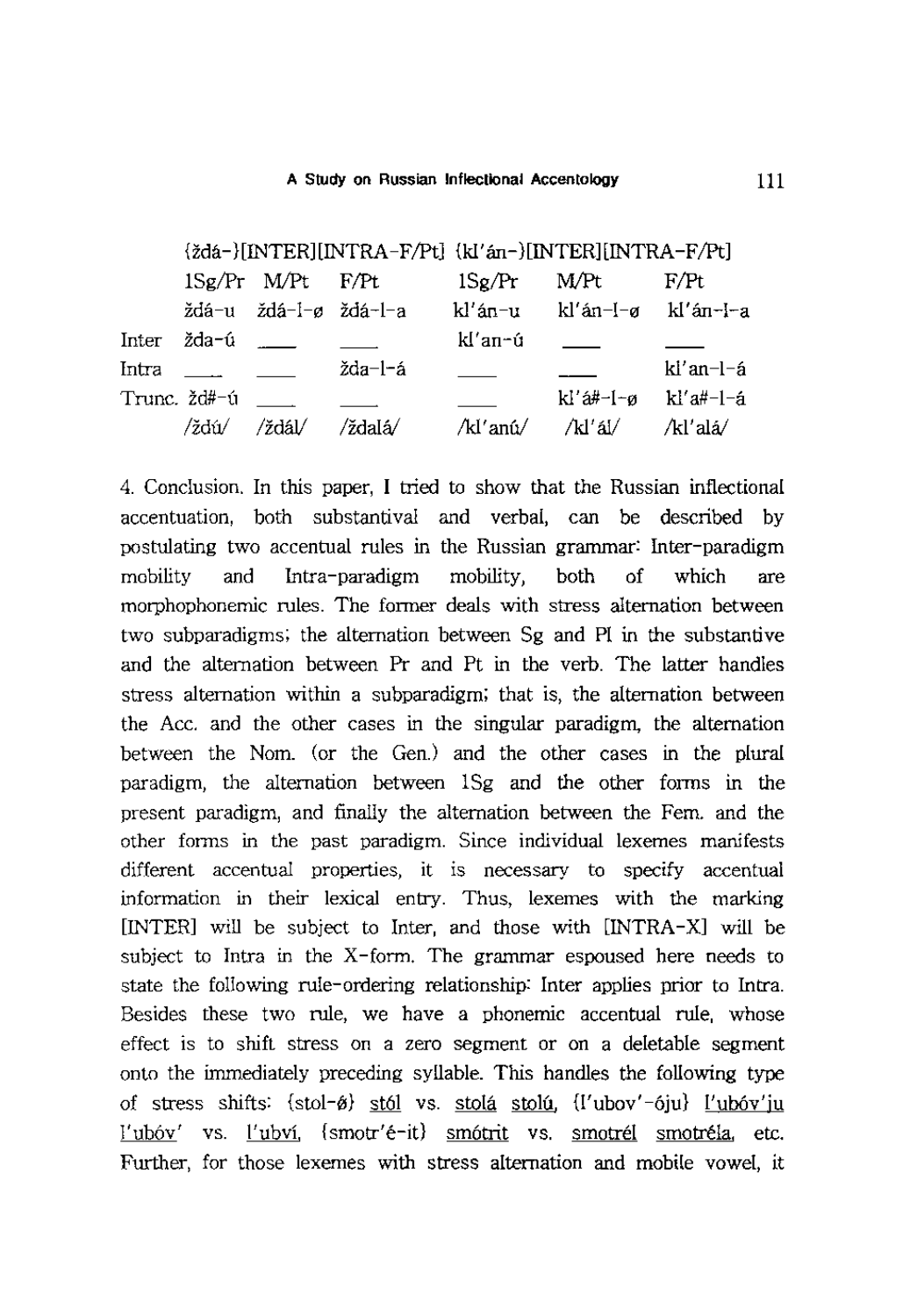|       |                               |                       |         | {ždá-}[INTER][INTRA-F/Pt] {kI'án-}[INTER][INTRA-F/Pt] |                             |             |
|-------|-------------------------------|-----------------------|---------|-------------------------------------------------------|-----------------------------|-------------|
|       |                               | 1Sg/Pr M/Pt F/Pt      |         | 1Sg/Pr                                                | M/Pt                        | F/Pt        |
|       |                               | ždá-u ždá-l-ø ždá-l-a |         |                                                       | kl'án-u kl'án-l-ø kl'án-l-a |             |
| Inter | žda-ú <u>. –</u>              |                       |         | kl′an∽ú                                               |                             |             |
| Intra | and the state of the state of |                       | žda-l-á |                                                       |                             | $kl'an-l-a$ |
|       | Trunc. žd#-ú                  |                       |         |                                                       | kl'á#-l-ø kl'a#-l-á         |             |
|       | ∕ždú⁄                         | ∕ždál∕                | ∕ždaIá∕ | /kl'anú/ /kl'ál/                                      |                             | /kl′alá⁄    |

4. Conclusion. In this paper, I tried to show that the Russian inflectional accentuation, both substantival and verbal, can be described by postulating two accentual rules in the Russian grammar: Inter-paradigm mobility and Intra-paradigm mobility, both of which are morphophonemic rules. The former deals with stress alternation between two subparadigms; the alternation between Sg and PI in the substantive and the alternation between Pr and Pt in the verb. The latter handles stress alternation within a subparadigm; that is, the alternation between the Acc. and the other cases in the singular paradigm, the alternation between the Nom. (or the Gen.) and the other cases in the plural paradigm, the alternation between lSg and the other forms in the present paradigm, and finally the alternation between the Fern. and the other forms in the past paradigm. Since individual lexemes manifests different accentual properties, it is necessary to specify accentual information in their lexical entry. Thus, lexemes with the marking [INTER] will be subject to Inter, and those with [INTRA-X] will be subject to Intra in the  $X$ -form. The grammar espoused here needs to state the following rule-ordering relationship: Inter applies prior to Intra. Besides these two rule, we have a phonemic accentual rule, whose effect is to shift stress on a zero segment or on a deletable segment onto the immediately preceding syllable. This handles the following type of stress shifts: {stol- $\hat{\theta}$ } stól vs. stolá stolú, {I'ubov'-óju} l'ubóv'ju l'ubóv' vs. l'ubví, {smotr'é-it} smótrit vs. smotrél smotréla, etc. Further, for those lexemes with stress alternation and mobile vowel, it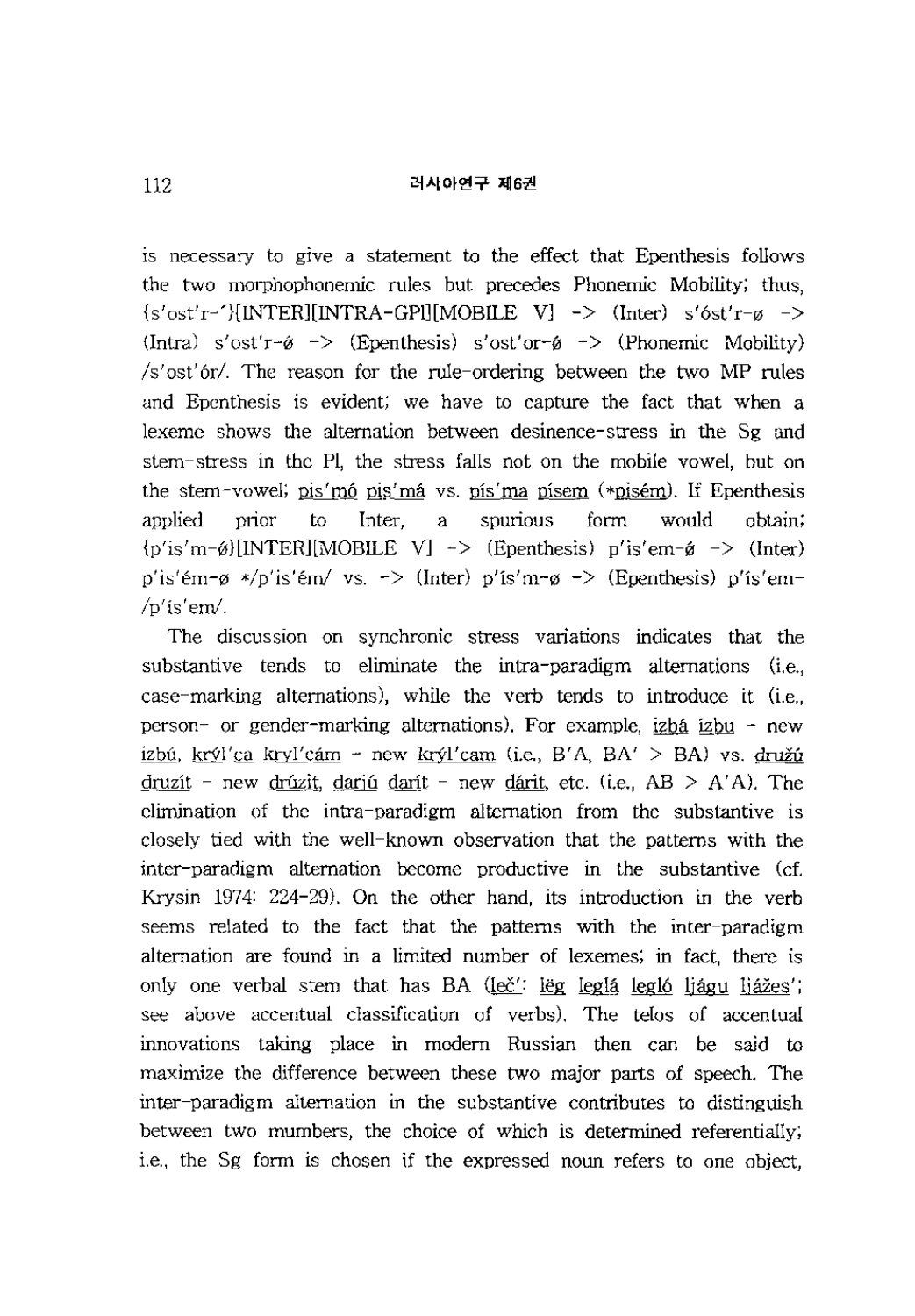## 러사아연구 제6권

1S necessary to give a statement to the effect that Epenthesis follows the two morphophonemic rules but precedes Phonemic Mobility; thus,  ${s'ost'r-f}$ [INTER][INTRA-GPI][MOBILE V] -> (Inter)  $s'ost'r-g$  ->  $\text{[Intra)} \text{ s'ost'r-ø} \rightarrow \text{[Epenthesis)} \text{ s'ost'or-ø} \rightarrow \text{[Phonemic Mobileity)}$ *Is'ost'orl.* The reason for the rule-ordering between the two MP rules and Epenthesis is evident; we have to capture the fact that when a lexeme shows the alternation between desinence-stress in the Sg and stem-stress in the PI, the stress falls not on the mobile vowel, but on the stem-vowel; pis'mo pis'ma vs. pis'ma pisem (\*pisem). If Epenthesis applied prior to Inter, a spurious form would obtain;  ${p'is'm-\emptyset}$ [INTER][MOBILE V] -> (Epenthesis) p'is'em- $\emptyset$  -> (Inter) p'is'em- $\alpha$  \*/p'is'em/ vs. -> (Inter) p'is'm- $\alpha$  -> (Epenthesis) p'is'em- $/p$ 'is'em'.

The discussion on synchronic stress variations indicates that the substantive tends to eliminate the intra-paradigm alternations (i.e., case-marking alternations), while the verb tends to introduce it (i.e., person- or gender-marking alternations). For example, izba izbu - new izbú, krýl'ca kryl'cám - new krýl'cam (i.e., B'A, BA' > BA) vs. družú druzit - new drúzit, darjú darít - new dárit, etc. (i.e.,  $AB > A'A$ ). The elimination of the intra-paradigm alternation from the substantive is closely tied with the well-known observation that the patterns with the inter-paradigm alternation become productive in the substantive (cf. Krysin 1974: 224-29). On the other hand, its introduction in the verb seems related to the fact that the patterns with the inter-paradigm alternation are found in a limited number of lexemes; in fact, there is only one verbal stem that has BA (leč': leg leglá legló ljágu ljážes'; see above accentual classification of verbs). The telos of accentual innovations taking place in modern Russian then can be said to maximize the difference between these two major parts of speech. The inter-paradigm alternation in the substantive contributes to distinguish between two mumbers, the choice of which is determined referentially; i.e., the Sg form is chosen if the expressed noun refers to one object,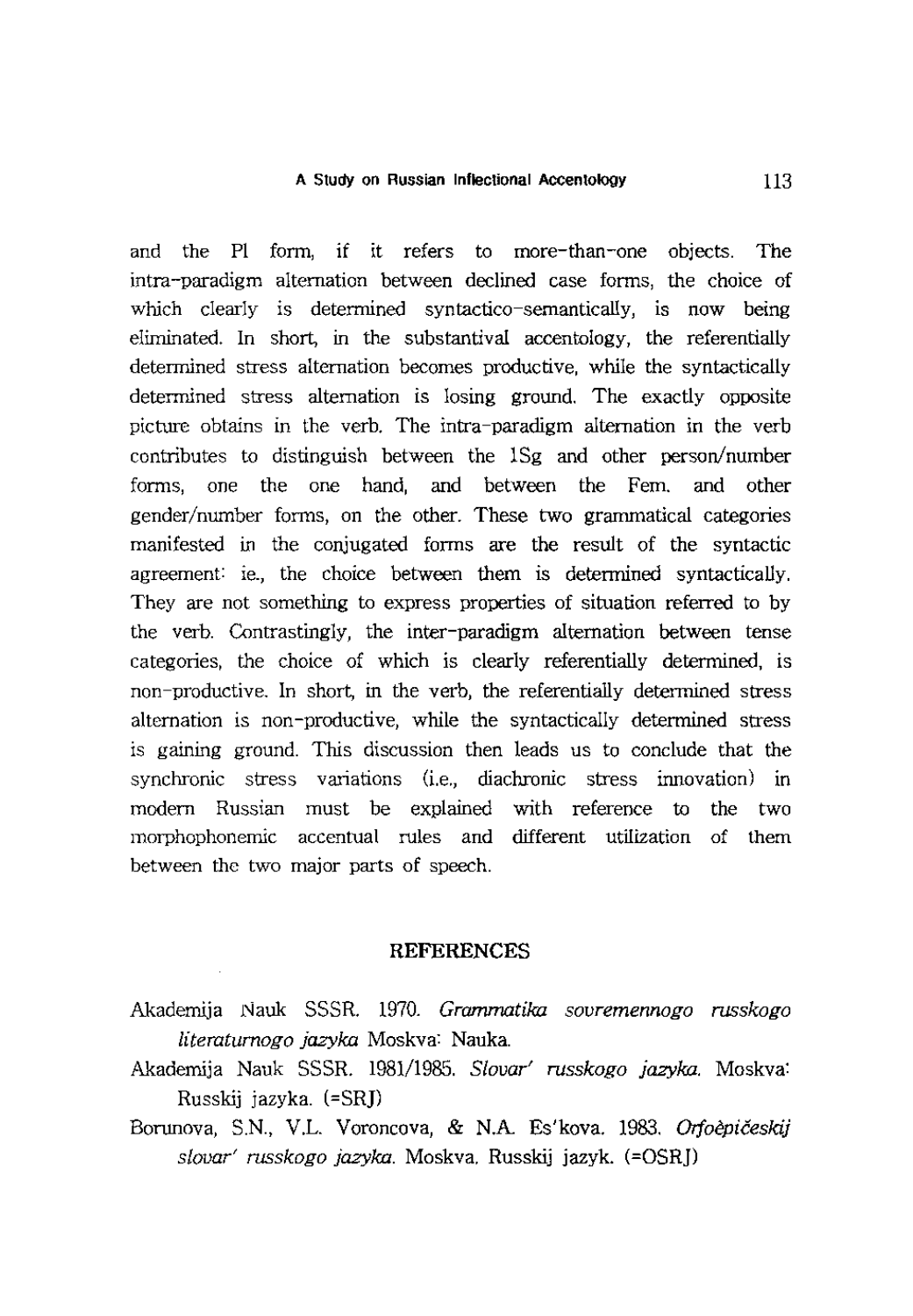and the PI form, if it refers to more-than-one objects. The intra-paradigm alternation between declined case forms, the choice of which clearly is determined syntactico-semantically, is now being eliminated. In short, in the substantival accentology, the referentially determined stress alternation becomes productive, while the syntactically determined stress alternation is losing ground. The exactly opposite picture obtains in the verb. The intra-paradigm alternation in the verb contributes to distinguish between the lSg and other person/number forms, one the one hand, and between the Fern. and other gender/number forms, on the other. These two grammatical categories manifested in the conjugated forms are the result of the syntactic agreement: ie., the choice between them is determined syntactically. They are not something to express properties of situation referred to by the verb. Contrastingly, the inter-paradigm alternation between tense categories, the choice of which is clearly referentially determined, is non-productive. In short, in the verb, the referentially determined stress alternation is non-productive, while the syntactically determined stress is gaining ground. This discussion then leads us to conclude that the synchronic stress variations (i.e., diachronic stress innovation) in modern Russian must be explained with reference to the two morphophonemic accentual rules and different utilization of them between the two major parts of speech.

## **REFERENCES**

- Akademija Nauk SSSR. 1970. *Grammatika sovremennogo russkogo literatumogo jazyka* Moskva: Nauka.
- Akademija Nauk SSSR. 1981/1985. *Slovar' russkogo jazyka.* Moskva: Russkij jazyka. (=SRJ)
- Borunova, S.N., V.L. Voroncova, & N.A. Es'kova. 1983. *Orfoepiceskij slovar' russkogo jazyka.* Moskva. Russkij jazyk. (=OSRJ)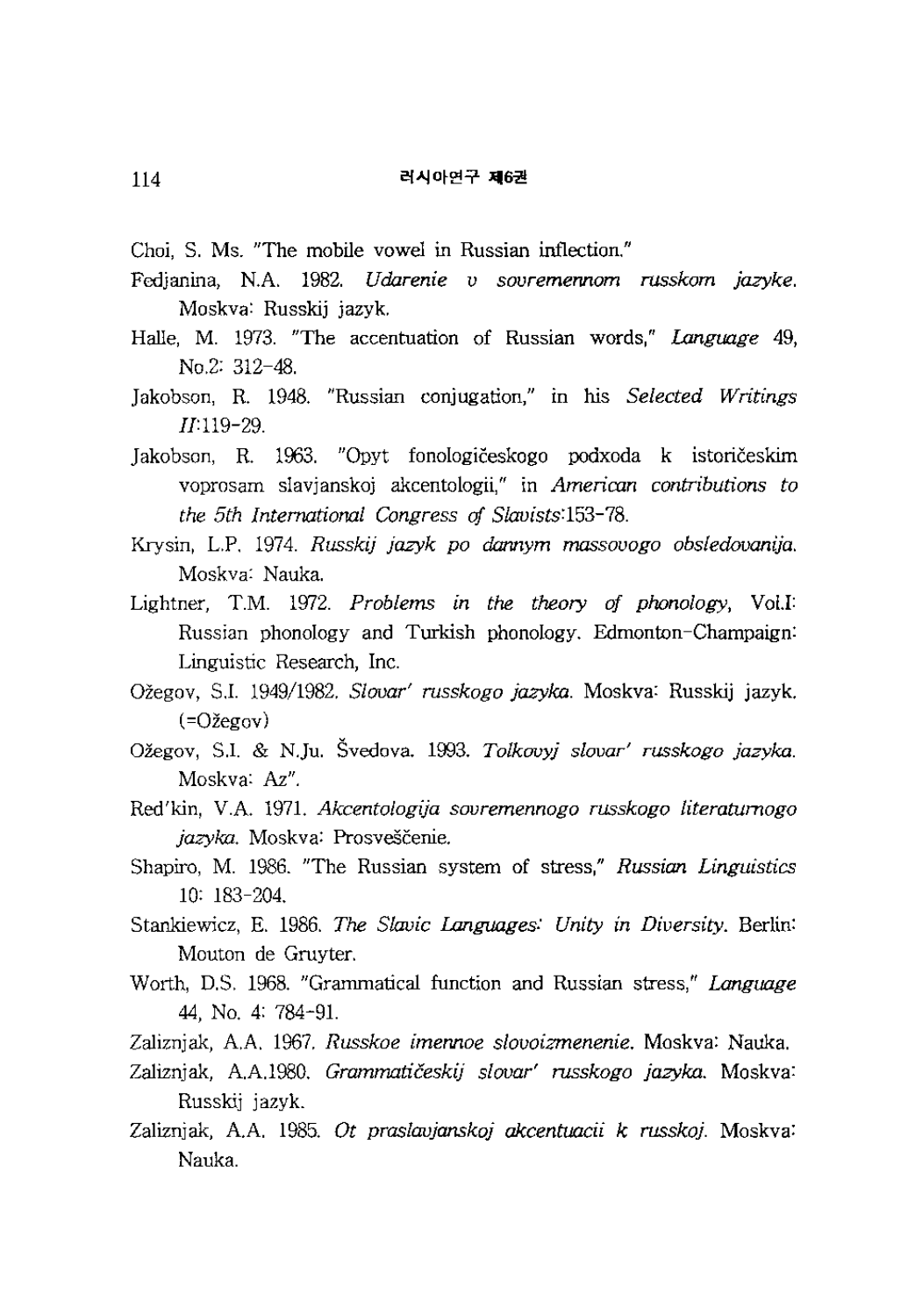Choi, S. Ms. "The mobile vowel in Russian inflection."

- Fedjanina, N.A 1982. *Udarenie v sovremennom russkom jazyke.*  Moskva: Russkij jazyk.
- Halle, M. 1973. "The accentuation of Russian words," *Language 49,*  No.2: 312-48.
- Jakobson, R. 1948. "Russian conjugation," in his *Selected Writings*  IJ:119-29.

Jakobson, R. 1963. "Opyt fonologiceskogo podxoda k istoriceskim voprosam slavjanskoj akcentologii," in *American contributions to the 5th International Congress* of *Slavists:153-78.* 

Krysin, L.P. 1974. *Russkij jazyk po dannym massovogo obsledovanija.* Moskva: Nauka.

- Lightner, T.M. 1972. *Problems in the theory of phonology*, Vol.I: Russian phonology and Turkish phonology. Edmonton-Champaign: Linguistic Research, Inc.
- Ozegov, S.1. 1949/1982. *Slovar' russkogo jazyka.* Moskva: Russkij jazyk.  $(=\Omega \check{z}e^{\alpha}$ gov $)$
- Oregov, S.l. & N.Ju. Svedova. 1993. *Tolkovyj slovar' russkogo jazyka.*  Moskva: Az".
- Red'kin, V.A 1971. *Akcentologija sovremennogo russkogo literatumogo*  jazyka. Moskva: Prosveščenie.
- Shapiro, M. 1986. "The Russian system of stress," *Russian. Linguistics*  10: 183-204.
- Stankiewicz, E. 1986. *The Slavic Languages: Unity in Diversity.* Berlin: Mouton de Gruyter.
- Worth, D.S. 1968. "Grammatical function and Russian stress," *Language*  44, No.4: 784-91.
- Zaliznjak, AA 1967. *Russkoe imennoe slovoizmenenie.* Moskva: Nauka.
- Zaliznjak, AA.1980. *Grammaticeskij slovar' russkogo jazyka.* Moskva: Russkij jazyk.
- Zaliznjak, AA 1985. *Ot praslavjanskoj akcentuacii k russkoj.* Moskva: Nauka.